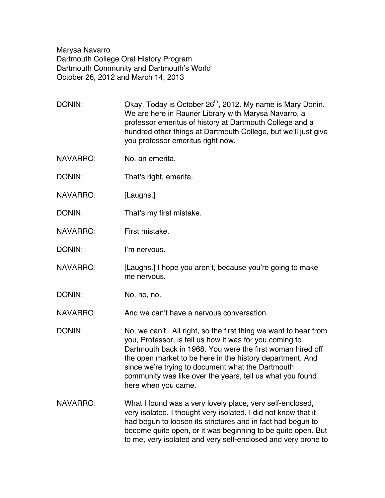Marysa Navarro Dartmouth College Oral History Program Dartmouth Community and Dartmouth's World October 26, 2012 and March 14, 2013

DONIN: Okay. Today is October 26<sup>th</sup>, 2012. My name is Mary Donin. We are here in Rauner Library with Marysa Navarro, a professor emeritus of history at Dartmouth College and a hundred other things at Dartmouth College, but we'll just give you professor emeritus right now.

- NAVARRO: No, an emerita.
- DONIN: That's right, emerita.
- NAVARRO: [Laughs.]
- DONIN: That's my first mistake.
- NAVARRO: First mistake.
- DONIN: I'm nervous.
- NAVARRO: [Laughs.] I hope you aren't, because you're going to make me nervous.
- DONIN: No, no, no.

NAVARRO: And we can't have a nervous conversation.

DONIN: No, we can't. All right, so the first thing we want to hear from you, Professor, is tell us how it was for you coming to Dartmouth back in 1968. You were the first woman hired off the open market to be here in the history department. And since we're trying to document what the Dartmouth community was like over the years, tell us what you found here when you came.

NAVARRO: What I found was a very lovely place, very self-enclosed, very isolated. I thought very isolated. I did not know that it had begun to loosen its strictures and in fact had begun to become quite open, or it was beginning to be quite open. But to me, very isolated and very self-enclosed and very prone to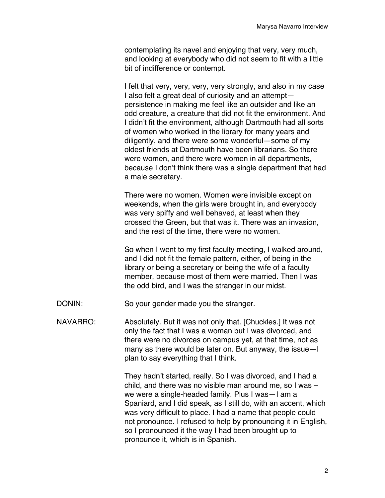contemplating its navel and enjoying that very, very much, and looking at everybody who did not seem to fit with a little bit of indifference or contempt.

I felt that very, very, very, very strongly, and also in my case I also felt a great deal of curiosity and an attempt persistence in making me feel like an outsider and like an odd creature, a creature that did not fit the environment. And I didn't fit the environment, although Dartmouth had all sorts of women who worked in the library for many years and diligently, and there were some wonderful—some of my oldest friends at Dartmouth have been librarians. So there were women, and there were women in all departments, because I don't think there was a single department that had a male secretary.

There were no women. Women were invisible except on weekends, when the girls were brought in, and everybody was very spiffy and well behaved, at least when they crossed the Green, but that was it. There was an invasion, and the rest of the time, there were no women.

So when I went to my first faculty meeting, I walked around, and I did not fit the female pattern, either, of being in the library or being a secretary or being the wife of a faculty member, because most of them were married. Then I was the odd bird, and I was the stranger in our midst.

DONIN: So your gender made you the stranger.

NAVARRO: Absolutely. But it was not only that. [Chuckles.] It was not only the fact that I was a woman but I was divorced, and there were no divorces on campus yet, at that time, not as many as there would be later on. But anyway, the issue—I plan to say everything that I think.

> They hadn't started, really. So I was divorced, and I had a child, and there was no visible man around me, so I was – we were a single-headed family. Plus I was—I am a Spaniard, and I did speak, as I still do, with an accent, which was very difficult to place. I had a name that people could not pronounce. I refused to help by pronouncing it in English, so I pronounced it the way I had been brought up to pronounce it, which is in Spanish.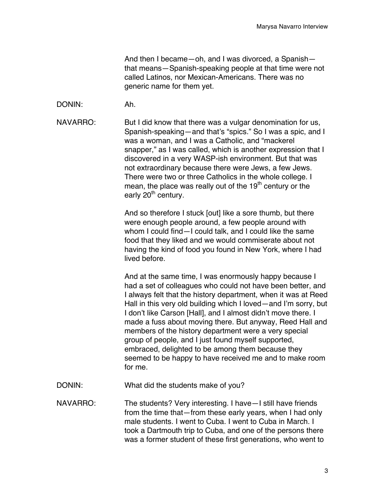And then I became—oh, and I was divorced, a Spanish that means—Spanish-speaking people at that time were not called Latinos, nor Mexican-Americans. There was no generic name for them yet.

DONIN: Ah.

NAVARRO: But I did know that there was a vulgar denomination for us, Spanish-speaking—and that's "spics." So I was a spic, and I was a woman, and I was a Catholic, and "mackerel snapper," as I was called, which is another expression that I discovered in a very WASP-ish environment. But that was not extraordinary because there were Jews, a few Jews. There were two or three Catholics in the whole college. I mean, the place was really out of the 19<sup>th</sup> century or the early 20<sup>th</sup> century.

> And so therefore I stuck [out] like a sore thumb, but there were enough people around, a few people around with whom I could find—I could talk, and I could like the same food that they liked and we would commiserate about not having the kind of food you found in New York, where I had lived before.

And at the same time, I was enormously happy because I had a set of colleagues who could not have been better, and I always felt that the history department, when it was at Reed Hall in this very old building which I loved—and I'm sorry, but I don't like Carson [Hall], and I almost didn't move there. I made a fuss about moving there. But anyway, Reed Hall and members of the history department were a very special group of people, and I just found myself supported, embraced, delighted to be among them because they seemed to be happy to have received me and to make room for me.

DONIN: What did the students make of you?

NAVARRO: The students? Very interesting. I have—I still have friends from the time that—from these early years, when I had only male students. I went to Cuba. I went to Cuba in March. I took a Dartmouth trip to Cuba, and one of the persons there was a former student of these first generations, who went to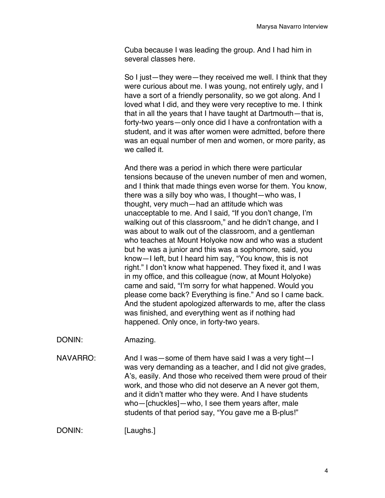Cuba because I was leading the group. And I had him in several classes here.

So I just—they were—they received me well. I think that they were curious about me. I was young, not entirely ugly, and I have a sort of a friendly personality, so we got along. And I loved what I did, and they were very receptive to me. I think that in all the years that I have taught at Dartmouth—that is, forty-two years—only once did I have a confrontation with a student, and it was after women were admitted, before there was an equal number of men and women, or more parity, as we called it.

And there was a period in which there were particular tensions because of the uneven number of men and women, and I think that made things even worse for them. You know, there was a silly boy who was, I thought—who was, I thought, very much—had an attitude which was unacceptable to me. And I said, "If you don't change, I'm walking out of this classroom," and he didn't change, and I was about to walk out of the classroom, and a gentleman who teaches at Mount Holyoke now and who was a student but he was a junior and this was a sophomore, said, you know—I left, but I heard him say, "You know, this is not right." I don't know what happened. They fixed it, and I was in my office, and this colleague (now, at Mount Holyoke) came and said, "I'm sorry for what happened. Would you please come back? Everything is fine." And so I came back. And the student apologized afterwards to me, after the class was finished, and everything went as if nothing had happened. Only once, in forty-two years.

DONIN: Amazing.

NAVARRO: And I was—some of them have said I was a very tight—I was very demanding as a teacher, and I did not give grades, A's, easily. And those who received them were proud of their work, and those who did not deserve an A never got them, and it didn't matter who they were. And I have students who—[chuckles]—who, I see them years after, male students of that period say, "You gave me a B-plus!"

DONIN: [Laughs.]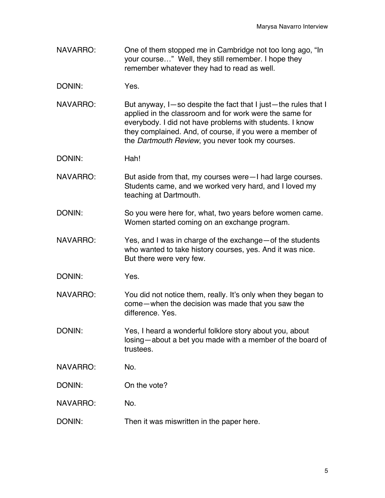- NAVARRO: One of them stopped me in Cambridge not too long ago, "In your course…" Well, they still remember. I hope they remember whatever they had to read as well.
- DONIN: Yes.
- NAVARRO: But anyway, I-so despite the fact that I just—the rules that I applied in the classroom and for work were the same for everybody. I did not have problems with students. I know they complained. And, of course, if you were a member of the *Dartmouth Review*, you never took my courses.
- DONIN: Hah!
- NAVARRO: But aside from that, my courses were–I had large courses. Students came, and we worked very hard, and I loved my teaching at Dartmouth.
- DONIN: So you were here for, what, two years before women came. Women started coming on an exchange program.
- NAVARRO: Yes, and I was in charge of the exchange—of the students who wanted to take history courses, yes. And it was nice. But there were very few.
- DONIN: Yes.
- NAVARRO: You did not notice them, really. It's only when they began to come—when the decision was made that you saw the difference. Yes.
- DONIN: Yes, I heard a wonderful folklore story about you, about losing—about a bet you made with a member of the board of trustees.
- NAVARRO: No.
- DONIN: On the vote?
- NAVARRO: No.
- DONIN: Then it was miswritten in the paper here.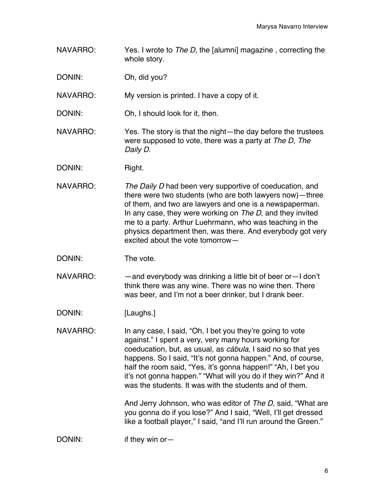- NAVARRO: Yes. I wrote to *The D*, the [alumni] magazine , correcting the whole story.
- DONIN: Oh, did you?
- NAVARRO: My version is printed. I have a copy of it.
- DONIN: Oh, I should look for it, then.
- NAVARRO: Yes. The story is that the night—the day before the trustees were supposed to vote, there was a party at *The D*, *The Daily D*.
- DONIN: Right.
- NAVARRO: *The Daily D* had been very supportive of coeducation, and there were two students (who are both lawyers now)—three of them, and two are lawyers and one is a newspaperman. In any case, they were working on *The D*, and they invited me to a party. Arthur Luehrmann, who was teaching in the physics department then, was there. And everybody got very excited about the vote tomorrow—
- DONIN: The vote.
- NAVARRO: — and everybody was drinking a little bit of beer or I don't think there was any wine. There was no wine then. There was beer, and I'm not a beer drinker, but I drank beer.
- DONIN: [Laughs.]
- NAVARRO: In any case, I said, "Oh, I bet you they're going to vote against." I spent a very, very many hours working for coeducation, but, as usual, as *cábula*, I said no so that yes happens. So I said, "It's not gonna happen." And, of course, half the room said, "Yes, it's gonna happen!" "Ah, I bet you it's not gonna happen." "What will you do if they win?" And it was the students. It was with the students and of them.

And Jerry Johnson, who was editor of *The D*, said, "What are you gonna do if you lose?" And I said, "Well, I'll get dressed like a football player," I said, "and I'll run around the Green."

DONIN: if they win or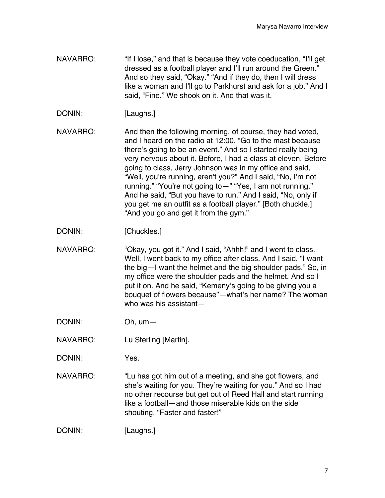- NAVARRO: "If I lose," and that is because they vote coeducation, "I'll get dressed as a football player and I'll run around the Green." And so they said, "Okay." "And if they do, then I will dress like a woman and I'll go to Parkhurst and ask for a job." And I said, "Fine." We shook on it. And that was it.
- DONIN: [Laughs.]

NAVARRO: And then the following morning, of course, they had voted, and I heard on the radio at 12:00, "Go to the mast because there's going to be an event." And so I started really being very nervous about it. Before, I had a class at eleven. Before going to class, Jerry Johnson was in my office and said, "Well, you're running, aren't you?" And I said, "No, I'm not running." "You're not going to—" "Yes, I am not running." And he said, "But you have to run." And I said, "No, only if you get me an outfit as a football player." [Both chuckle.] "And you go and get it from the gym."

- DONIN: [Chuckles.]
- NAVARRO: "Okay, you got it." And I said, "Ahhh!" and I went to class. Well, l went back to my office after class. And I said, "I want the big—I want the helmet and the big shoulder pads." So, in my office were the shoulder pads and the helmet. And so I put it on. And he said, "Kemeny's going to be giving you a bouquet of flowers because"—what's her name? The woman who was his assistant—
- DONIN: Oh, um—
- NAVARRO: Lu Sterling [Martin].
- DONIN: Yes.
- NAVARRO: "Lu has got him out of a meeting, and she got flowers, and she's waiting for you. They're waiting for you." And so I had no other recourse but get out of Reed Hall and start running like a football—and those miserable kids on the side shouting, "Faster and faster!"

DONIN: [Laughs.]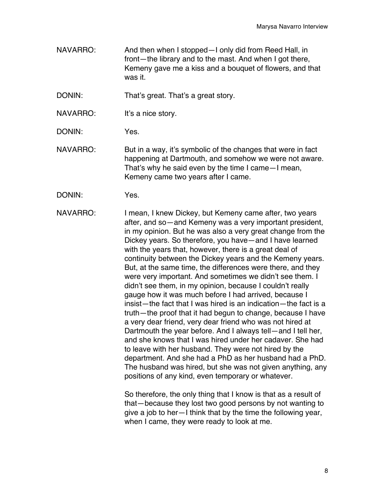NAVARRO: And then when I stopped—I only did from Reed Hall, in front—the library and to the mast. And when I got there, Kemeny gave me a kiss and a bouquet of flowers, and that was it.

DONIN: That's great. That's a great story.

NAVARRO: It's a nice story.

DONIN: Yes.

NAVARRO: But in a way, it's symbolic of the changes that were in fact happening at Dartmouth, and somehow we were not aware. That's why he said even by the time I came—I mean, Kemeny came two years after I came.

DONIN: Yes.

NAVARRO: I mean, I knew Dickey, but Kemeny came after, two years after, and so—and Kemeny was a very important president, in my opinion. But he was also a very great change from the Dickey years. So therefore, you have—and I have learned with the years that, however, there is a great deal of continuity between the Dickey years and the Kemeny years. But, at the same time, the differences were there, and they were very important. And sometimes we didn't see them. I didn't see them, in my opinion, because I couldn't really gauge how it was much before I had arrived, because I insist—the fact that I was hired is an indication—the fact is a truth—the proof that it had begun to change, because I have a very dear friend, very dear friend who was not hired at Dartmouth the year before. And I always tell—and I tell her, and she knows that I was hired under her cadaver. She had to leave with her husband. They were not hired by the department. And she had a PhD as her husband had a PhD. The husband was hired, but she was not given anything, any positions of any kind, even temporary or whatever.

> So therefore, the only thing that I know is that as a result of that—because they lost two good persons by not wanting to give a job to her—I think that by the time the following year, when I came, they were ready to look at me.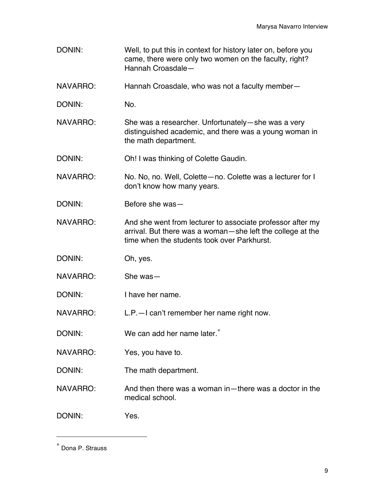- DONIN: Well, to put this in context for history later on, before you came, there were only two women on the faculty, right? Hannah Croasdale—
- NAVARRO: Hannah Croasdale, who was not a faculty member—
- DONIN: No.
- NAVARRO: She was a researcher. Unfortunately—she was a very distinguished academic, and there was a young woman in the math department.
- DONIN: Oh! I was thinking of Colette Gaudin.
- NAVARRO: No. No, no. Well, Colette—no. Colette was a lecturer for I don't know how many years.
- DONIN: Before she was—
- NAVARRO: And she went from lecturer to associate professor after my arrival. But there was a woman—she left the college at the time when the students took over Parkhurst.
- DONIN: Oh, yes.
- NAVARRO: She was—
- DONIN: I have her name.
- NAVARRO: L.P.—I can't remember her name right now.
- DONIN: We can add her name later.<sup>\*</sup>
- NAVARRO: Yes, you have to.
- DONIN: The math department.
- NAVARRO: And then there was a woman in—there was a doctor in the medical school.
- DONIN: Yes.

 $\overline{a}$ 

<sup>∗</sup> Dona P. Strauss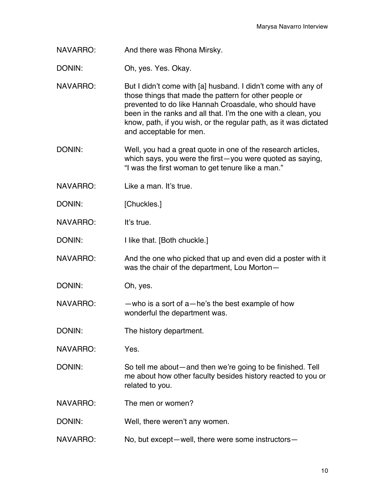NAVARRO: And there was Rhona Mirsky.

DONIN: Oh, yes. Yes. Okay.

NAVARRO: But I didn't come with [a] husband. I didn't come with any of those things that made the pattern for other people or prevented to do like Hannah Croasdale, who should have been in the ranks and all that. I'm the one with a clean, you know, path, if you wish, or the regular path, as it was dictated and acceptable for men.

DONIN: Well, you had a great quote in one of the research articles, which says, you were the first—you were quoted as saying, "I was the first woman to get tenure like a man."

- NAVARRO: Like a man. It's true.
- DONIN: [Chuckles.]

NAVARRO: It's true.

DONIN: I like that. [Both chuckle.]

NAVARRO: And the one who picked that up and even did a poster with it was the chair of the department, Lou Morton—

DONIN: Oh, yes.

NAVARRO: —who is a sort of a—he's the best example of how wonderful the department was.

DONIN: The history department.

NAVARRO: Yes.

DONIN: So tell me about—and then we're going to be finished. Tell me about how other faculty besides history reacted to you or related to you.

NAVARRO: The men or women?

DONIN: Well, there weren't any women.

NAVARRO: No, but except—well, there were some instructors—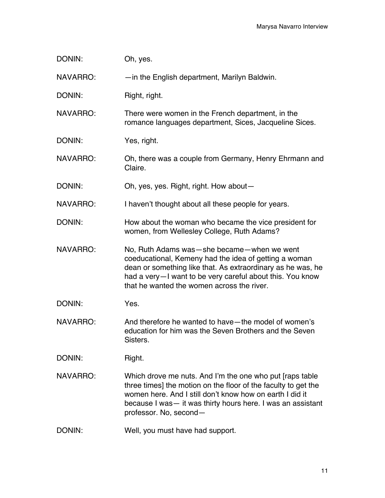| DONIN:          | Oh, yes.                                                                                                                                                                                                                                                                          |
|-----------------|-----------------------------------------------------------------------------------------------------------------------------------------------------------------------------------------------------------------------------------------------------------------------------------|
| <b>NAVARRO:</b> | - in the English department, Marilyn Baldwin.                                                                                                                                                                                                                                     |
| DONIN:          | Right, right.                                                                                                                                                                                                                                                                     |
| <b>NAVARRO:</b> | There were women in the French department, in the<br>romance languages department, Sices, Jacqueline Sices.                                                                                                                                                                       |
| DONIN:          | Yes, right.                                                                                                                                                                                                                                                                       |
| <b>NAVARRO:</b> | Oh, there was a couple from Germany, Henry Ehrmann and<br>Claire.                                                                                                                                                                                                                 |
| DONIN:          | Oh, yes, yes. Right, right. How about-                                                                                                                                                                                                                                            |
| <b>NAVARRO:</b> | I haven't thought about all these people for years.                                                                                                                                                                                                                               |
| DONIN:          | How about the woman who became the vice president for<br>women, from Wellesley College, Ruth Adams?                                                                                                                                                                               |
| <b>NAVARRO:</b> | No, Ruth Adams was - she became - when we went<br>coeducational, Kemeny had the idea of getting a woman<br>dean or something like that. As extraordinary as he was, he<br>had a very-I want to be very careful about this. You know<br>that he wanted the women across the river. |
| DONIN:          | Yes.                                                                                                                                                                                                                                                                              |
| <b>NAVARRO:</b> | And therefore he wanted to have—the model of women's<br>education for him was the Seven Brothers and the Seven<br>Sisters.                                                                                                                                                        |
| DONIN:          | Right.                                                                                                                                                                                                                                                                            |
| <b>NAVARRO:</b> | Which drove me nuts. And I'm the one who put [raps table<br>three times] the motion on the floor of the faculty to get the<br>women here. And I still don't know how on earth I did it<br>because I was - it was thirty hours here. I was an assistant<br>professor. No, second-  |
| DONIN:          | Well, you must have had support.                                                                                                                                                                                                                                                  |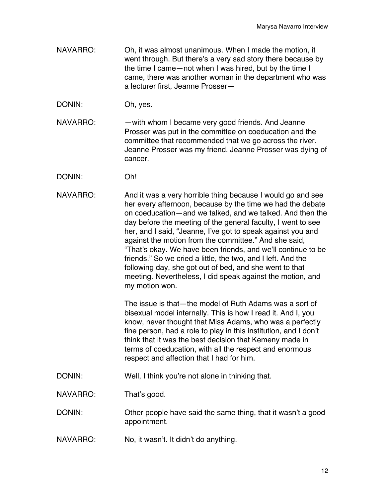- NAVARRO: Oh, it was almost unanimous. When I made the motion, it went through. But there's a very sad story there because by the time I came—not when I was hired, but by the time I came, there was another woman in the department who was a lecturer first, Jeanne Prosser—
- DONIN: Oh, yes.
- NAVARRO: — with whom I became very good friends. And Jeanne Prosser was put in the committee on coeducation and the committee that recommended that we go across the river. Jeanne Prosser was my friend. Jeanne Prosser was dying of cancer.
- DONIN: Oh!
- NAVARRO: And it was a very horrible thing because I would go and see her every afternoon, because by the time we had the debate on coeducation—and we talked, and we talked. And then the day before the meeting of the general faculty, I went to see her, and I said, "Jeanne, I've got to speak against you and against the motion from the committee." And she said, "That's okay. We have been friends, and we'll continue to be friends." So we cried a little, the two, and I left. And the following day, she got out of bed, and she went to that meeting. Nevertheless, I did speak against the motion, and my motion won.

The issue is that—the model of Ruth Adams was a sort of bisexual model internally. This is how I read it. And I, you know, never thought that Miss Adams, who was a perfectly fine person, had a role to play in this institution, and I don't think that it was the best decision that Kemeny made in terms of coeducation, with all the respect and enormous respect and affection that I had for him.

DONIN: Well, I think you're not alone in thinking that.

NAVARRO: That's good.

DONIN: Other people have said the same thing, that it wasn't a good appointment.

NAVARRO: No, it wasn't. It didn't do anything.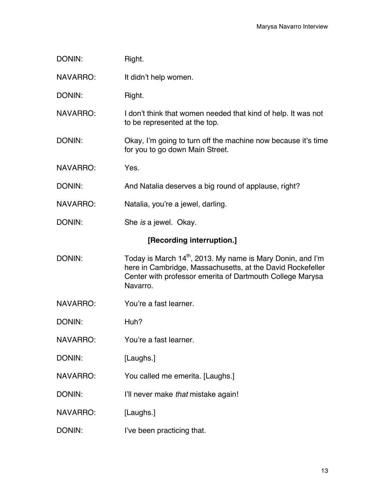| DONIN:                    | Right.                                                                                                                              |
|---------------------------|-------------------------------------------------------------------------------------------------------------------------------------|
| NAVARRO:                  | It didn't help women.                                                                                                               |
| DONIN:                    | Right.                                                                                                                              |
| <b>NAVARRO:</b>           | I don't think that women needed that kind of help. It was not<br>to be represented at the top.                                      |
| DONIN:                    | Okay, I'm going to turn off the machine now because it's time<br>for you to go down Main Street.                                    |
| NAVARRO:                  | Yes.                                                                                                                                |
| DONIN:                    | And Natalia deserves a big round of applause, right?                                                                                |
| NAVARRO:                  | Natalia, you're a jewel, darling.                                                                                                   |
| DONIN:                    | She is a jewel. Okay.                                                                                                               |
| [Recording interruption.] |                                                                                                                                     |
| DONIN:                    | Today is March 14 <sup>th</sup> , 2013. My name is Mary Donin, and I'm                                                              |
|                           | here in Cambridge, Massachusetts, at the David Rockefeller<br>Center with professor emerita of Dartmouth College Marysa<br>Navarro. |
| NAVARRO:                  | You're a fast learner.                                                                                                              |
| DONIN:                    | Huh?                                                                                                                                |
| <b>NAVARRO:</b>           | You're a fast learner.                                                                                                              |
| DONIN:                    | [Laughs.]                                                                                                                           |
| <b>NAVARRO:</b>           | You called me emerita. [Laughs.]                                                                                                    |

- NAVARRO: [Laughs.]
- DONIN: I've been practicing that.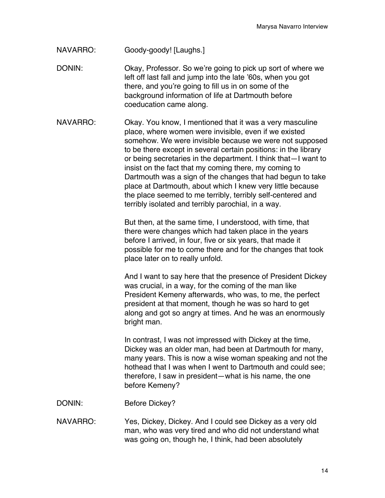NAVARRO: Goody-goody! [Laughs.]

DONIN: Okay, Professor. So we're going to pick up sort of where we left off last fall and jump into the late '60s, when you got there, and you're going to fill us in on some of the background information of life at Dartmouth before coeducation came along.

NAVARRO: Okay. You know, I mentioned that it was a very masculine place, where women were invisible, even if we existed somehow. We were invisible because we were not supposed to be there except in several certain positions: in the library or being secretaries in the department. I think that—I want to insist on the fact that my coming there, my coming to Dartmouth was a sign of the changes that had begun to take place at Dartmouth, about which I knew very little because the place seemed to me terribly, terribly self-centered and terribly isolated and terribly parochial, in a way.

> But then, at the same time, I understood, with time, that there were changes which had taken place in the years before I arrived, in four, five or six years, that made it possible for me to come there and for the changes that took place later on to really unfold.

And I want to say here that the presence of President Dickey was crucial, in a way, for the coming of the man like President Kemeny afterwards, who was, to me, the perfect president at that moment, though he was so hard to get along and got so angry at times. And he was an enormously bright man.

In contrast, I was not impressed with Dickey at the time, Dickey was an older man, had been at Dartmouth for many, many years. This is now a wise woman speaking and not the hothead that I was when I went to Dartmouth and could see; therefore, I saw in president—what is his name, the one before Kemeny?

DONIN: Before Dickey?

NAVARRO: Yes, Dickey, Dickey. And I could see Dickey as a very old man, who was very tired and who did not understand what was going on, though he, I think, had been absolutely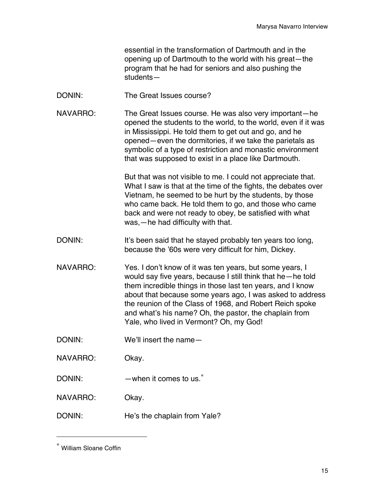essential in the transformation of Dartmouth and in the opening up of Dartmouth to the world with his great—the program that he had for seniors and also pushing the students—

- DONIN: The Great Issues course?
- NAVARRO: The Great Issues course. He was also very important—he opened the students to the world, to the world, even if it was in Mississippi. He told them to get out and go, and he opened—even the dormitories, if we take the parietals as symbolic of a type of restriction and monastic environment that was supposed to exist in a place like Dartmouth.

But that was not visible to me. I could not appreciate that. What I saw is that at the time of the fights, the debates over Vietnam, he seemed to be hurt by the students, by those who came back. He told them to go, and those who came back and were not ready to obey, be satisfied with what was,—he had difficulty with that.

- DONIN: It's been said that he stayed probably ten years too long, because the '60s were very difficult for him, Dickey.
- NAVARRO: Yes. I don't know of it was ten years, but some years, I would say five years, because I still think that he—he told them incredible things in those last ten years, and I know about that because some years ago, I was asked to address the reunion of the Class of 1968, and Robert Reich spoke and what's his name? Oh, the pastor, the chaplain from Yale, who lived in Vermont? Oh, my God!
- DONIN: We'll insert the name-
- NAVARRO: Okay.
- DONIN: —when it comes to us.<sup>\*</sup>
- NAVARRO: Okay.
- DONIN: He's the chaplain from Yale?

 $\overline{a}$ 

<sup>∗</sup> William Sloane Coffin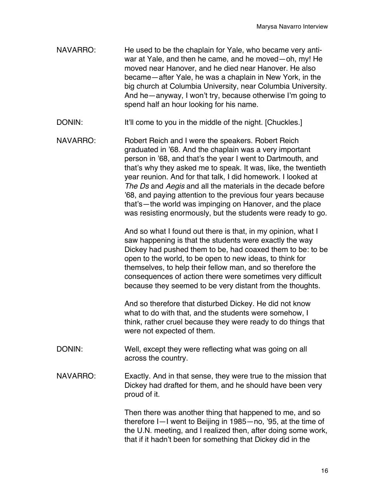- NAVARRO: He used to be the chaplain for Yale, who became very antiwar at Yale, and then he came, and he moved—oh, my! He moved near Hanover, and he died near Hanover. He also became—after Yale, he was a chaplain in New York, in the big church at Columbia University, near Columbia University. And he—anyway, I won't try, because otherwise I'm going to spend half an hour looking for his name.
- DONIN: It'll come to you in the middle of the night. [Chuckles.]
- NAVARRO: Robert Reich and I were the speakers. Robert Reich graduated in '68. And the chaplain was a very important person in '68, and that's the year I went to Dartmouth, and that's why they asked me to speak. It was, like, the twentieth year reunion. And for that talk, I did homework. I looked at *The Ds* and *Aegis* and all the materials in the decade before '68, and paying attention to the previous four years because that's—the world was impinging on Hanover, and the place was resisting enormously, but the students were ready to go.

And so what I found out there is that, in my opinion, what I saw happening is that the students were exactly the way Dickey had pushed them to be, had coaxed them to be: to be open to the world, to be open to new ideas, to think for themselves, to help their fellow man, and so therefore the consequences of action there were sometimes very difficult because they seemed to be very distant from the thoughts.

And so therefore that disturbed Dickey. He did not know what to do with that, and the students were somehow, I think, rather cruel because they were ready to do things that were not expected of them.

- DONIN: Well, except they were reflecting what was going on all across the country.
- NAVARRO: Exactly. And in that sense, they were true to the mission that Dickey had drafted for them, and he should have been very proud of it.

Then there was another thing that happened to me, and so therefore I—I went to Beijing in 1985—no, '95, at the time of the U.N. meeting, and I realized then, after doing some work, that if it hadn't been for something that Dickey did in the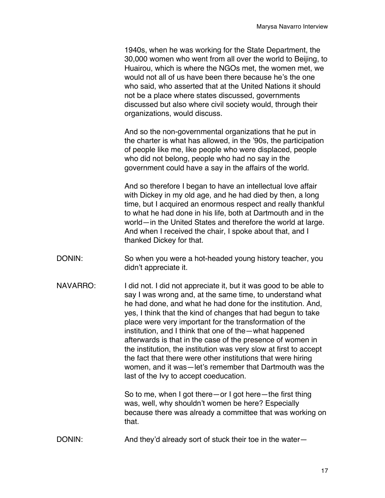1940s, when he was working for the State Department, the 30,000 women who went from all over the world to Beijing, to Huairou, which is where the NGOs met, the women met, we would not all of us have been there because he's the one who said, who asserted that at the United Nations it should not be a place where states discussed, governments discussed but also where civil society would, through their organizations, would discuss.

And so the non-governmental organizations that he put in the charter is what has allowed, in the '90s, the participation of people like me, like people who were displaced, people who did not belong, people who had no say in the government could have a say in the affairs of the world.

And so therefore I began to have an intellectual love affair with Dickey in my old age, and he had died by then, a long time, but I acquired an enormous respect and really thankful to what he had done in his life, both at Dartmouth and in the world—in the United States and therefore the world at large. And when I received the chair, I spoke about that, and I thanked Dickey for that.

- DONIN: So when you were a hot-headed young history teacher, you didn't appreciate it.
- NAVARRO: I did not. I did not appreciate it, but it was good to be able to say I was wrong and, at the same time, to understand what he had done, and what he had done for the institution. And, yes, I think that the kind of changes that had begun to take place were very important for the transformation of the institution, and I think that one of the—what happened afterwards is that in the case of the presence of women in the institution, the institution was very slow at first to accept the fact that there were other institutions that were hiring women, and it was—let's remember that Dartmouth was the last of the Ivy to accept coeducation.

So to me, when I got there—or I got here—the first thing was, well, why shouldn't women be here? Especially because there was already a committee that was working on that.

DONIN: And they'd already sort of stuck their toe in the water-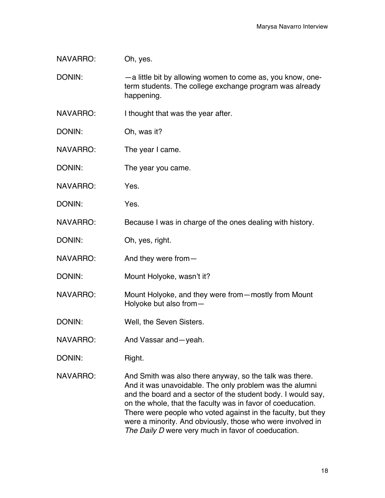NAVARRO: Oh, yes.

DONIN: — — a little bit by allowing women to come as, you know, oneterm students. The college exchange program was already happening.

NAVARRO: I thought that was the year after.

- DONIN: Oh, was it?
- NAVARRO: The year I came.
- DONIN: The year you came.
- NAVARRO: Yes.
- DONIN: Yes.

NAVARRO: Because I was in charge of the ones dealing with history.

- DONIN: Oh, yes, right.
- NAVARRO: And they were from-
- DONIN: Mount Holyoke, wasn't it?
- NAVARRO: Mount Holyoke, and they were from—mostly from Mount Holyoke but also from—
- DONIN: Well, the Seven Sisters.
- NAVARRO: And Vassar and yeah.
- DONIN: Right.
- NAVARRO: And Smith was also there anyway, so the talk was there. And it was unavoidable. The only problem was the alumni and the board and a sector of the student body. I would say, on the whole, that the faculty was in favor of coeducation. There were people who voted against in the faculty, but they were a minority. And obviously, those who were involved in *The Daily D* were very much in favor of coeducation.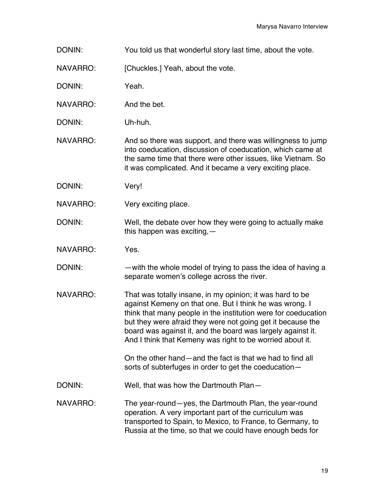DONIN: You told us that wonderful story last time, about the vote.

NAVARRO: [Chuckles.] Yeah, about the vote.

DONIN: Yeah.

NAVARRO: And the bet.

DONIN: Uh-huh.

NAVARRO: And so there was support, and there was willingness to jump into coeducation, discussion of coeducation, which came at the same time that there were other issues, like Vietnam. So it was complicated. And it became a very exciting place.

- DONIN: Very!
- NAVARRO: Very exciting place.
- DONIN: Well, the debate over how they were going to actually make this happen was exciting,—
- NAVARRO: Yes.
- DONIN: —with the whole model of trying to pass the idea of having a separate women's college across the river.
- NAVARRO: That was totally insane, in my opinion; it was hard to be against Kemeny on that one. But I think he was wrong. I think that many people in the institution were for coeducation but they were afraid they were not going get it because the board was against it, and the board was largely against it. And I think that Kemeny was right to be worried about it.

On the other hand—and the fact is that we had to find all sorts of subterfuges in order to get the coeducation—

DONIN: Well, that was how the Dartmouth Plan—

NAVARRO: The year-round—yes, the Dartmouth Plan, the year-round operation. A very important part of the curriculum was transported to Spain, to Mexico, to France, to Germany, to Russia at the time, so that we could have enough beds for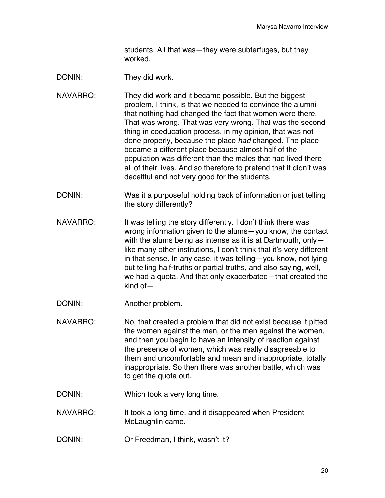students. All that was—they were subterfuges, but they worked.

DONIN: They did work.

- NAVARRO: They did work and it became possible. But the biggest problem, I think, is that we needed to convince the alumni that nothing had changed the fact that women were there. That was wrong. That was very wrong. That was the second thing in coeducation process, in my opinion, that was not done properly, because the place *had* changed. The place became a different place because almost half of the population was different than the males that had lived there all of their lives. And so therefore to pretend that it didn't was deceitful and not very good for the students.
- DONIN: Was it a purposeful holding back of information or just telling the story differently?
- NAVARRO: It was telling the story differently. I don't think there was wrong information given to the alums—you know, the contact with the alums being as intense as it is at Dartmouth, only like many other institutions, I don't think that it's very different in that sense. In any case, it was telling—you know, not lying but telling half-truths or partial truths, and also saying, well, we had a quota. And that only exacerbated—that created the kind of—
- DONIN: Another problem.
- NAVARRO: No, that created a problem that did not exist because it pitted the women against the men, or the men against the women, and then you begin to have an intensity of reaction against the presence of women, which was really disagreeable to them and uncomfortable and mean and inappropriate, totally inappropriate. So then there was another battle, which was to get the quota out.
- DONIN: Which took a very long time.
- NAVARRO: It took a long time, and it disappeared when President McLaughlin came.
- DONIN: Or Freedman, I think, wasn't it?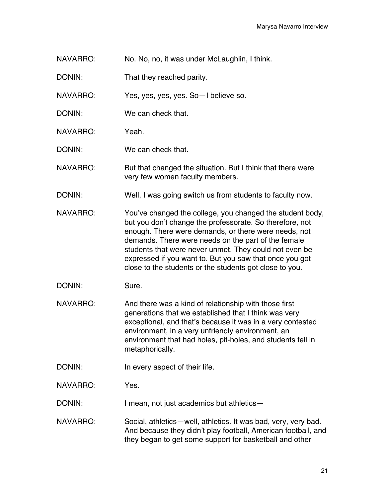- NAVARRO: No. No, no, it was under McLaughlin, I think.
- DONIN: That they reached parity.

NAVARRO: Yes, yes, yes, yes. So—I believe so.

- DONIN: We can check that.
- NAVARRO: Yeah.

DONIN: We can check that.

- NAVARRO: But that changed the situation. But I think that there were very few women faculty members.
- DONIN: Well, I was going switch us from students to faculty now.
- NAVARRO: You've changed the college, you changed the student body, but you don't change the professorate. So therefore, not enough. There were demands, or there were needs, not demands. There were needs on the part of the female students that were never unmet. They could not even be expressed if you want to. But you saw that once you got close to the students or the students got close to you.
- DONIN: Sure.
- NAVARRO: And there was a kind of relationship with those first generations that we established that I think was very exceptional, and that's because it was in a very contested environment, in a very unfriendly environment, an environment that had holes, pit-holes, and students fell in metaphorically.
- DONIN: In every aspect of their life.
- NAVARRO: Yes.

DONIN: I mean, not just academics but athletics—

NAVARRO: Social, athletics—well, athletics. It was bad, very, very bad. And because they didn't play football, American football, and they began to get some support for basketball and other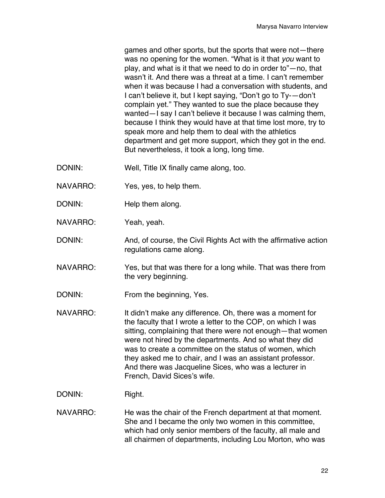games and other sports, but the sports that were not—there was no opening for the women. "What is it that *you* want to play, and what is it that we need to do in order to"—no, that wasn't it. And there was a threat at a time. I can't remember when it was because I had a conversation with students, and I can't believe it, but I kept saying, "Don't go to Ty-—don't complain yet." They wanted to sue the place because they wanted—I say I can't believe it because I was calming them, because I think they would have at that time lost more, try to speak more and help them to deal with the athletics department and get more support, which they got in the end. But nevertheless, it took a long, long time.

- DONIN: Well, Title IX finally came along, too.
- NAVARRO: Yes, yes, to help them.
- DONIN: Help them along.
- NAVARRO: Yeah, yeah.
- DONIN: And, of course, the Civil Rights Act with the affirmative action regulations came along.
- NAVARRO: Yes, but that was there for a long while. That was there from the very beginning.
- DONIN: From the beginning, Yes.
- NAVARRO: It didn't make any difference. Oh, there was a moment for the faculty that I wrote a letter to the COP, on which I was sitting, complaining that there were not enough—that women were not hired by the departments. And so what they did was to create a committee on the status of women, which they asked me to chair, and I was an assistant professor. And there was Jacqueline Sices, who was a lecturer in French, David Sices's wife.
- DONIN: Right.
- NAVARRO: He was the chair of the French department at that moment. She and I became the only two women in this committee, which had only senior members of the faculty, all male and all chairmen of departments, including Lou Morton, who was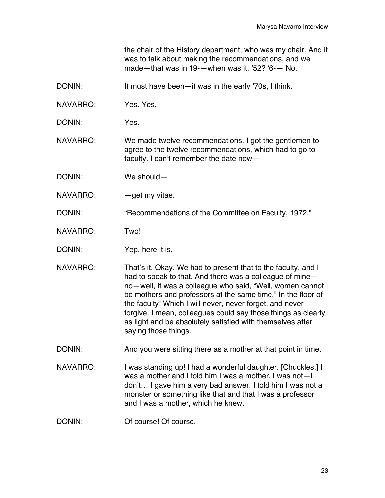the chair of the History department, who was my chair. And it was to talk about making the recommendations, and we made—that was in 19-—when was it, '52? '6-— No.

- DONIN: It must have been—it was in the early '70s, I think.
- NAVARRO: Yes. Yes.
- DONIN: Yes.
- NAVARRO: We made twelve recommendations. I got the gentlemen to agree to the twelve recommendations, which had to go to faculty. I can't remember the date now—
- DONIN: We should—
- NAVARRO: — qet my vitae.

DONIN: "Recommendations of the Committee on Faculty, 1972."

- NAVARRO: Two!
- DONIN: Yep, here it is.
- NAVARRO: That's it. Okay. We had to present that to the faculty, and I had to speak to that. And there was a colleague of mine no—well, it was a colleague who said, "Well, women cannot be mothers and professors at the same time." In the floor of the faculty! Which I will never, never forget, and never forgive. I mean, colleagues could say those things as clearly as light and be absolutely satisfied with themselves after saying those things.
- DONIN: And you were sitting there as a mother at that point in time.
- NAVARRO: I was standing up! I had a wonderful daughter. [Chuckles.] I was a mother and I told him I was a mother. I was not—I don't… I gave him a very bad answer. I told him I was not a monster or something like that and that I was a professor and I was a mother, which he knew.
- DONIN: Of course! Of course.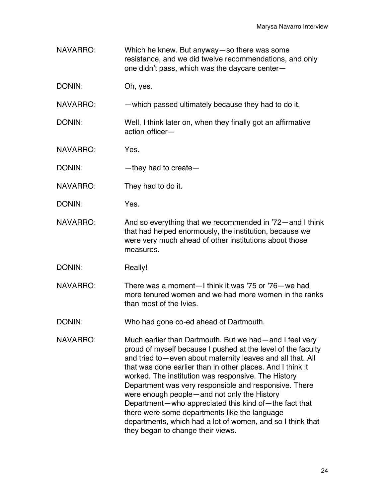- NAVARRO: Which he knew. But anyway—so there was some resistance, and we did twelve recommendations, and only one didn't pass, which was the daycare center—
- DONIN: Oh, yes.

NAVARRO: —which passed ultimately because they had to do it.

- DONIN: Well, I think later on, when they finally got an affirmative action officer—
- NAVARRO: Yes.
- DONIN: —they had to create
- NAVARRO: They had to do it.
- DONIN: Yes.
- NAVARRO: And so everything that we recommended in '72—and I think that had helped enormously, the institution, because we were very much ahead of other institutions about those measures.
- DONIN: Really!
- NAVARRO: There was a moment—I think it was '75 or '76—we had more tenured women and we had more women in the ranks than most of the Ivies.

DONIN: Who had gone co-ed ahead of Dartmouth.

NAVARRO: Much earlier than Dartmouth. But we had—and I feel very proud of myself because I pushed at the level of the faculty and tried to—even about maternity leaves and all that. All that was done earlier than in other places. And I think it worked. The institution was responsive. The History Department was very responsible and responsive. There were enough people—and not only the History Department—who appreciated this kind of—the fact that there were some departments like the language departments, which had a lot of women, and so I think that they began to change their views.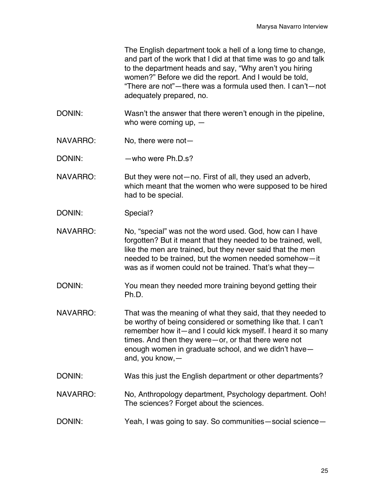The English department took a hell of a long time to change, and part of the work that I did at that time was to go and talk to the department heads and say, "Why aren't you hiring women?" Before we did the report. And I would be told, "There are not"—there was a formula used then. I can't—not adequately prepared, no.

- DONIN: Wasn't the answer that there weren't enough in the pipeline, who were coming up, —
- NAVARRO: No, there were not—
- DONIN: who were Ph.D.s?
- NAVARRO: But they were not—no. First of all, they used an adverb, which meant that the women who were supposed to be hired had to be special.
- DONIN: Special?
- NAVARRO: No, "special" was not the word used. God, how can I have forgotten? But it meant that they needed to be trained, well, like the men are trained, but they never said that the men needed to be trained, but the women needed somehow—it was as if women could not be trained. That's what they—
- DONIN: You mean they needed more training beyond getting their Ph.D.
- NAVARRO: That was the meaning of what they said, that they needed to be worthy of being considered or something like that. I can't remember how it—and I could kick myself. I heard it so many times. And then they were—or, or that there were not enough women in graduate school, and we didn't have and, you know,—
- DONIN: Was this just the English department or other departments?
- NAVARRO: No, Anthropology department, Psychology department. Ooh! The sciences? Forget about the sciences.
- DONIN: Yeah, I was going to say. So communities—social science—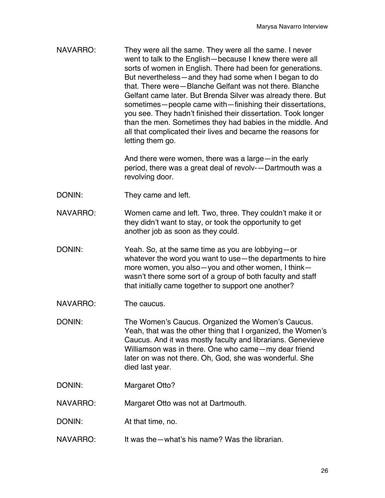NAVARRO: They were all the same. They were all the same. I never went to talk to the English—because I knew there were all sorts of women in English. There had been for generations. But nevertheless—and they had some when I began to do that. There were—Blanche Gelfant was not there. Blanche Gelfant came later. But Brenda Silver was already there. But sometimes—people came with—finishing their dissertations, you see. They hadn't finished their dissertation. Took longer than the men. Sometimes they had babies in the middle. And all that complicated their lives and became the reasons for letting them go.

> And there were women, there was a large—in the early period, there was a great deal of revolv-—Dartmouth was a revolving door.

- DONIN: They came and left.
- NAVARRO: Women came and left. Two, three. They couldn't make it or they didn't want to stay, or took the opportunity to get another job as soon as they could.
- DONIN: Yeah. So, at the same time as you are lobbying—or whatever the word you want to use—the departments to hire more women, you also—you and other women, I think wasn't there some sort of a group of both faculty and staff that initially came together to support one another?
- NAVARRO: The caucus.
- DONIN: The Women's Caucus. Organized the Women's Caucus. Yeah, that was the other thing that I organized, the Women's Caucus. And it was mostly faculty and librarians. Genevieve Williamson was in there. One who came—my dear friend later on was not there. Oh, God, she was wonderful. She died last year.
- DONIN: Margaret Otto?

NAVARRO: Margaret Otto was not at Dartmouth.

- DONIN: At that time, no.
- NAVARRO: It was the—what's his name? Was the librarian.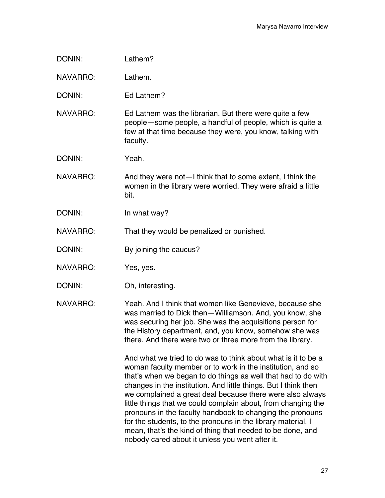| DONIN:          | Lathem?                                                                                                                                                                                                                                                                                                                                                                                                                                                                                                                    |
|-----------------|----------------------------------------------------------------------------------------------------------------------------------------------------------------------------------------------------------------------------------------------------------------------------------------------------------------------------------------------------------------------------------------------------------------------------------------------------------------------------------------------------------------------------|
| NAVARRO:        | Lathem.                                                                                                                                                                                                                                                                                                                                                                                                                                                                                                                    |
| DONIN:          | Ed Lathem?                                                                                                                                                                                                                                                                                                                                                                                                                                                                                                                 |
| <b>NAVARRO:</b> | Ed Lathem was the librarian. But there were quite a few<br>people – some people, a handful of people, which is quite a<br>few at that time because they were, you know, talking with<br>faculty.                                                                                                                                                                                                                                                                                                                           |
| DONIN:          | Yeah.                                                                                                                                                                                                                                                                                                                                                                                                                                                                                                                      |
| <b>NAVARRO:</b> | And they were not—I think that to some extent, I think the<br>women in the library were worried. They were afraid a little<br>bit.                                                                                                                                                                                                                                                                                                                                                                                         |
| DONIN:          | In what way?                                                                                                                                                                                                                                                                                                                                                                                                                                                                                                               |
| <b>NAVARRO:</b> | That they would be penalized or punished.                                                                                                                                                                                                                                                                                                                                                                                                                                                                                  |
| DONIN:          | By joining the caucus?                                                                                                                                                                                                                                                                                                                                                                                                                                                                                                     |
| NAVARRO:        | Yes, yes.                                                                                                                                                                                                                                                                                                                                                                                                                                                                                                                  |
| DONIN:          | Oh, interesting.                                                                                                                                                                                                                                                                                                                                                                                                                                                                                                           |
| NAVARRO:        | Yeah. And I think that women like Genevieve, because she<br>was married to Dick then-Williamson. And, you know, she<br>was securing her job. She was the acquisitions person for<br>the History department, and, you know, somehow she was<br>there. And there were two or three more from the library.                                                                                                                                                                                                                    |
|                 | And what we tried to do was to think about what is it to be a<br>woman faculty member or to work in the institution, and so<br>that's when we began to do things as well that had to do with<br>changes in the institution. And little things. But I think then<br>we complained a great deal because there were also always<br>little things that we could complain about, from changing the<br>pronouns in the faculty handbook to changing the pronouns<br>for the students, to the pronouns in the library material. I |

mean, that's the kind of thing that needed to be done, and

nobody cared about it unless you went after it.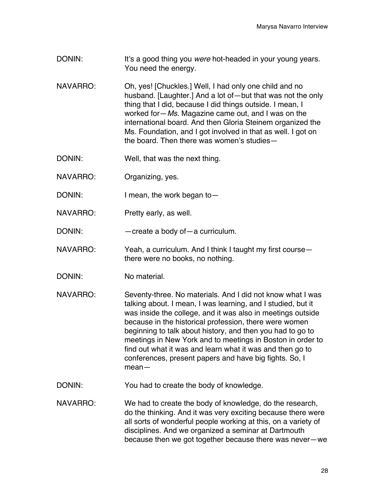- DONIN: It's a good thing you *were* hot-headed in your young years. You need the energy.
- NAVARRO: Oh, yes! [Chuckles.] Well, I had only one child and no husband. [Laughter.] And a lot of—but that was not the only thing that I did, because I did things outside. I mean, I worked for—*Ms.* Magazine came out, and I was on the international board. And then Gloria Steinem organized the Ms. Foundation, and I got involved in that as well. I got on the board. Then there was women's studies—
- DONIN: Well, that was the next thing.
- NAVARRO: Organizing, yes.
- DONIN: I mean, the work began to -
- NAVARRO: Pretty early, as well.
- DONIN: — create a body of a curriculum.
- NAVARRO: Yeah, a curriculum. And I think I taught my first course there were no books, no nothing.
- DONIN: No material.
- NAVARRO: Seventy-three. No materials. And I did not know what I was talking about. I mean, I was learning, and I studied, but it was inside the college, and it was also in meetings outside because in the historical profession, there were women beginning to talk about history, and then you had to go to meetings in New York and to meetings in Boston in order to find out what it was and learn what it was and then go to conferences, present papers and have big fights. So, I mean—
- DONIN: You had to create the body of knowledge.
- NAVARRO: We had to create the body of knowledge, do the research, do the thinking. And it was very exciting because there were all sorts of wonderful people working at this, on a variety of disciplines. And we organized a seminar at Dartmouth because then we got together because there was never—we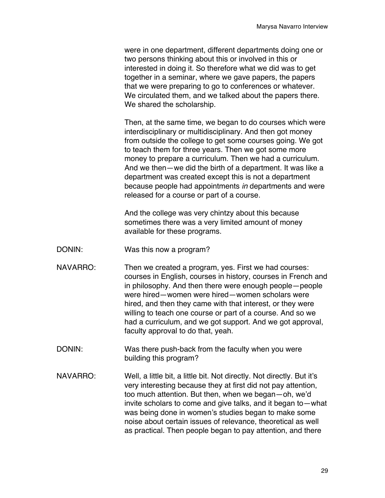were in one department, different departments doing one or two persons thinking about this or involved in this or interested in doing it. So therefore what we did was to get together in a seminar, where we gave papers, the papers that we were preparing to go to conferences or whatever. We circulated them, and we talked about the papers there. We shared the scholarship.

Then, at the same time, we began to do courses which were interdisciplinary or multidisciplinary. And then got money from outside the college to get some courses going. We got to teach them for three years. Then we got some more money to prepare a curriculum. Then we had a curriculum. And we then—we did the birth of a department. It was like a department was created except this is not a department because people had appointments *in* departments and were released for a course or part of a course.

And the college was very chintzy about this because sometimes there was a very limited amount of money available for these programs.

- DONIN: Was this now a program?
- NAVARRO: Then we created a program, yes. First we had courses: courses in English, courses in history, courses in French and in philosophy. And then there were enough people—people were hired—women were hired—women scholars were hired, and then they came with that interest, or they were willing to teach one course or part of a course. And so we had a curriculum, and we got support. And we got approval, faculty approval to do that, yeah.
- DONIN: Was there push-back from the faculty when you were building this program?
- NAVARRO: Well, a little bit, a little bit. Not directly. Not directly. But it's very interesting because they at first did not pay attention, too much attention. But then, when we began—oh, we'd invite scholars to come and give talks, and it began to—what was being done in women's studies began to make some noise about certain issues of relevance, theoretical as well as practical. Then people began to pay attention, and there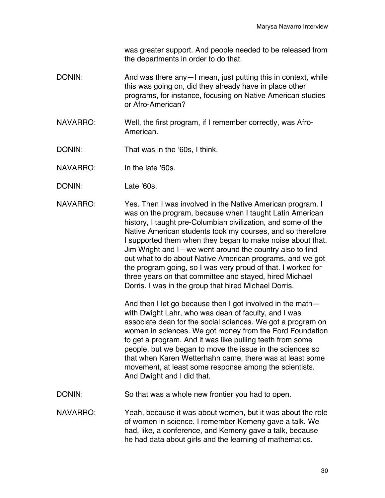was greater support. And people needed to be released from the departments in order to do that.

- DONIN: And was there any I mean, just putting this in context, while this was going on, did they already have in place other programs, for instance, focusing on Native American studies or Afro-American?
- NAVARRO: Well, the first program, if I remember correctly, was Afro-American.
- DONIN: That was in the '60s, I think.
- NAVARRO: In the late '60s.
- DONIN: Late '60s.
- NAVARRO: Yes. Then I was involved in the Native American program. I was on the program, because when I taught Latin American history, I taught pre-Columbian civilization, and some of the Native American students took my courses, and so therefore I supported them when they began to make noise about that. Jim Wright and I—we went around the country also to find out what to do about Native American programs, and we got the program going, so I was very proud of that. I worked for three years on that committee and stayed, hired Michael Dorris. I was in the group that hired Michael Dorris.

And then I let go because then I got involved in the math with Dwight Lahr, who was dean of faculty, and I was associate dean for the social sciences. We got a program on women in sciences. We got money from the Ford Foundation to get a program. And it was like pulling teeth from some people, but we began to move the issue in the sciences so that when Karen Wetterhahn came, there was at least some movement, at least some response among the scientists. And Dwight and I did that.

- DONIN: So that was a whole new frontier you had to open.
- NAVARRO: Yeah, because it was about women, but it was about the role of women in science. I remember Kemeny gave a talk. We had, like, a conference, and Kemeny gave a talk, because he had data about girls and the learning of mathematics.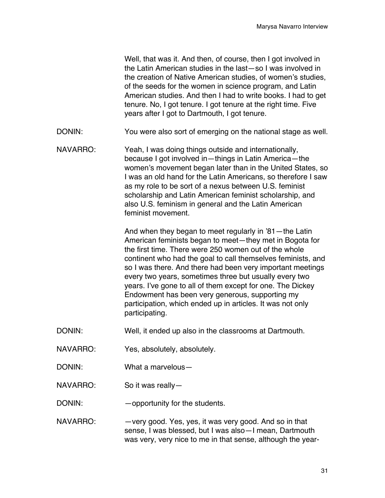Well, that was it. And then, of course, then I got involved in the Latin American studies in the last—so I was involved in the creation of Native American studies, of women's studies, of the seeds for the women in science program, and Latin American studies. And then I had to write books. I had to get tenure. No, I got tenure. I got tenure at the right time. Five years after I got to Dartmouth, I got tenure.

- DONIN: You were also sort of emerging on the national stage as well.
- NAVARRO: Yeah, I was doing things outside and internationally, because I got involved in—things in Latin America—the women's movement began later than in the United States, so I was an old hand for the Latin Americans, so therefore I saw as my role to be sort of a nexus between U.S. feminist scholarship and Latin American feminist scholarship, and also U.S. feminism in general and the Latin American feminist movement.

And when they began to meet regularly in '81—the Latin American feminists began to meet—they met in Bogota for the first time. There were 250 women out of the whole continent who had the goal to call themselves feminists, and so I was there. And there had been very important meetings every two years, sometimes three but usually every two years. I've gone to all of them except for one. The Dickey Endowment has been very generous, supporting my participation, which ended up in articles. It was not only participating.

- DONIN: Well, it ended up also in the classrooms at Dartmouth.
- NAVARRO: Yes, absolutely, absolutely.
- DONIN: What a marvelous—
- NAVARRO: So it was really—

DONIN: — opportunity for the students.

NAVARRO: — very good. Yes, yes, it was very good. And so in that sense, I was blessed, but I was also—I mean, Dartmouth was very, very nice to me in that sense, although the year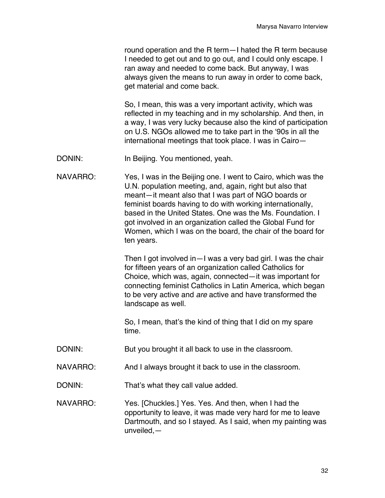round operation and the R term—I hated the R term because I needed to get out and to go out, and I could only escape. I ran away and needed to come back. But anyway, I was always given the means to run away in order to come back, get material and come back.

So, I mean, this was a very important activity, which was reflected in my teaching and in my scholarship. And then, in a way, I was very lucky because also the kind of participation on U.S. NGOs allowed me to take part in the '90s in all the international meetings that took place. I was in Cairo—

DONIN: In Beijing. You mentioned, yeah.

NAVARRO: Yes, I was in the Beijing one. I went to Cairo, which was the U.N. population meeting, and, again, right but also that meant—it meant also that I was part of NGO boards or feminist boards having to do with working internationally, based in the United States. One was the Ms. Foundation. I got involved in an organization called the Global Fund for Women, which I was on the board, the chair of the board for ten years.

> Then I got involved in—I was a very bad girl. I was the chair for fifteen years of an organization called Catholics for Choice, which was, again, connected—it was important for connecting feminist Catholics in Latin America, which began to be very active and *are* active and have transformed the landscape as well.

So, I mean, that's the kind of thing that I did on my spare time.

- DONIN: But you brought it all back to use in the classroom.
- NAVARRO: And I always brought it back to use in the classroom.
- DONIN: That's what they call value added.

NAVARRO: Yes. [Chuckles.] Yes. Yes. And then, when I had the opportunity to leave, it was made very hard for me to leave Dartmouth, and so I stayed. As I said, when my painting was unveiled,—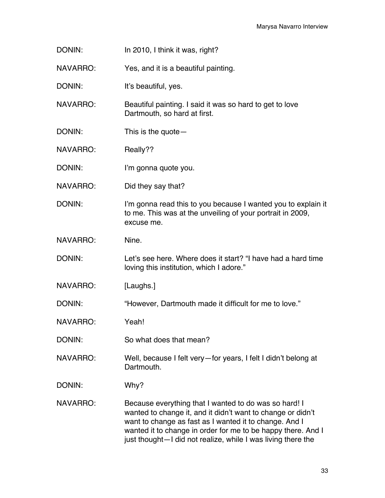DONIN: In 2010, I think it was, right?

NAVARRO: Yes, and it is a beautiful painting.

DONIN: It's beautiful, yes.

NAVARRO: Beautiful painting. I said it was so hard to get to love Dartmouth, so hard at first.

DONIN: This is the quote —

NAVARRO: Really??

DONIN: I'm gonna quote you.

NAVARRO: Did they say that?

DONIN: I'm gonna read this to you because I wanted you to explain it to me. This was at the unveiling of your portrait in 2009, excuse me.

NAVARRO: Nine.

DONIN: Let's see here. Where does it start? "I have had a hard time loving this institution, which I adore."

NAVARRO: [Laughs.]

DONIN: "However, Dartmouth made it difficult for me to love."

NAVARRO: Yeah!

DONIN: So what does that mean?

NAVARRO: Well, because I felt very—for years, I felt I didn't belong at Dartmouth.

DONIN: Why?

NAVARRO: Because everything that I wanted to do was so hard! I wanted to change it, and it didn't want to change or didn't want to change as fast as I wanted it to change. And I wanted it to change in order for me to be happy there. And I just thought—I did not realize, while I was living there the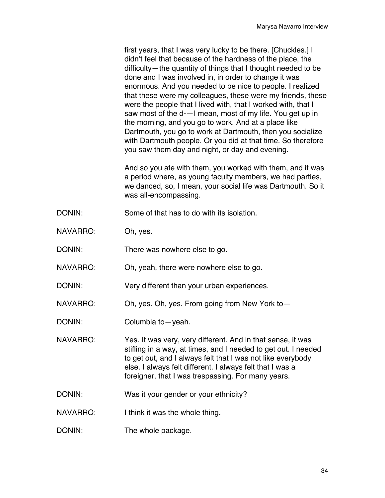first years, that I was very lucky to be there. [Chuckles.] I didn't feel that because of the hardness of the place, the difficulty—the quantity of things that I thought needed to be done and I was involved in, in order to change it was enormous. And you needed to be nice to people. I realized that these were my colleagues, these were my friends, these were the people that I lived with, that I worked with, that I saw most of the d-—I mean, most of my life. You get up in the morning, and you go to work. And at a place like Dartmouth, you go to work at Dartmouth, then you socialize with Dartmouth people. Or you did at that time. So therefore you saw them day and night, or day and evening.

And so you ate with them, you worked with them, and it was a period where, as young faculty members, we had parties, we danced, so, I mean, your social life was Dartmouth. So it was all-encompassing.

- DONIN: Some of that has to do with its isolation.
- NAVARRO: Oh, yes.
- DONIN: There was nowhere else to go.
- NAVARRO: Oh, yeah, there were nowhere else to go.
- DONIN: Very different than your urban experiences.
- NAVARRO: Oh, yes. Oh, yes. From going from New York to—
- DONIN: Columbia to yeah.
- NAVARRO: Yes. It was very, very different. And in that sense, it was stifling in a way, at times, and I needed to get out. I needed to get out, and I always felt that I was not like everybody else. I always felt different. I always felt that I was a foreigner, that I was trespassing. For many years.
- DONIN: Was it your gender or your ethnicity?
- NAVARRO: I think it was the whole thing.
- DONIN: The whole package.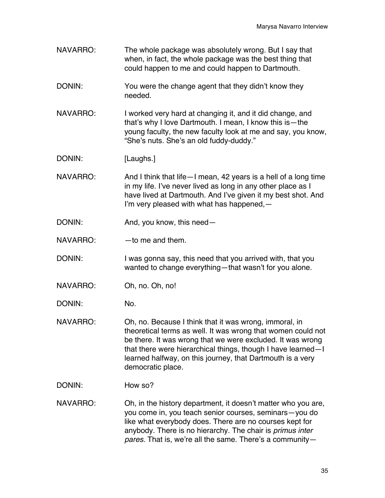- NAVARRO: The whole package was absolutely wrong. But I say that when, in fact, the whole package was the best thing that could happen to me and could happen to Dartmouth.
- DONIN: You were the change agent that they didn't know they needed.
- NAVARRO: I worked very hard at changing it, and it did change, and that's why I love Dartmouth. I mean, I know this is—the young faculty, the new faculty look at me and say, you know, "She's nuts. She's an old fuddy-duddy."
- DONIN: [Laughs.]
- NAVARRO: And I think that life—I mean, 42 years is a hell of a long time in my life. I've never lived as long in any other place as I have lived at Dartmouth. And I've given it my best shot. And I'm very pleased with what has happened,—
- DONIN: And, you know, this need—
- $NAVARRO:$  —to me and them.
- DONIN: I was gonna say, this need that you arrived with, that you wanted to change everything—that wasn't for you alone.
- NAVARRO: Oh, no. Oh, no!
- DONIN: No.
- NAVARRO: Oh, no. Because I think that it was wrong, immoral, in theoretical terms as well. It was wrong that women could not be there. It was wrong that we were excluded. It was wrong that there were hierarchical things, though I have learned—I learned halfway, on this journey, that Dartmouth is a very democratic place.
- DONIN: How so?
- NAVARRO: Oh, in the history department, it doesn't matter who you are, you come in, you teach senior courses, seminars—you do like what everybody does. There are no courses kept for anybody. There is no hierarchy. The chair is *primus inter pares*. That is, we're all the same. There's a community—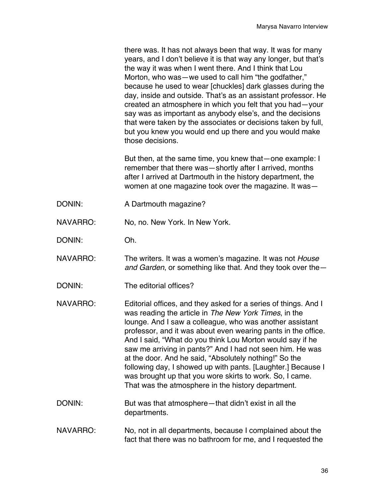there was. It has not always been that way. It was for many years, and I don't believe it is that way any longer, but that's the way it was when I went there. And I think that Lou Morton, who was—we used to call him "the godfather," because he used to wear [chuckles] dark glasses during the day, inside and outside. That's as an assistant professor. He created an atmosphere in which you felt that you had—your say was as important as anybody else's, and the decisions that were taken by the associates or decisions taken by full, but you knew you would end up there and you would make those decisions.

But then, at the same time, you knew that—one example: I remember that there was—shortly after I arrived, months after I arrived at Dartmouth in the history department, the women at one magazine took over the magazine. It was—

- DONIN: A Dartmouth magazine?
- NAVARRO: No, no. New York. In New York.
- DONIN: Oh.
- NAVARRO: The writers. It was a women's magazine. It was not *House and Garden*, or something like that. And they took over the—
- DONIN: The editorial offices?
- NAVARRO: Editorial offices, and they asked for a series of things. And I was reading the article in *The New York Times*, in the lounge. And I saw a colleague, who was another assistant professor, and it was about even wearing pants in the office. And I said, "What do you think Lou Morton would say if he saw me arriving in pants?" And I had not seen him. He was at the door. And he said, "Absolutely nothing!" So the following day, I showed up with pants. [Laughter.] Because I was brought up that you wore skirts to work. So, I came. That was the atmosphere in the history department.
- DONIN: But was that atmosphere—that didn't exist in all the departments.
- NAVARRO: No, not in all departments, because I complained about the fact that there was no bathroom for me, and I requested the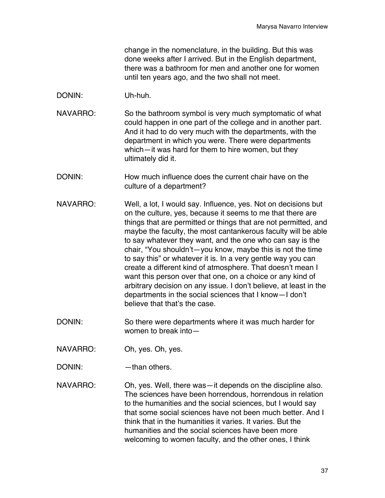change in the nomenclature, in the building. But this was done weeks after I arrived. But in the English department, there was a bathroom for men and another one for women until ten years ago, and the two shall not meet.

- DONIN: Uh-huh.
- NAVARRO: So the bathroom symbol is very much symptomatic of what could happen in one part of the college and in another part. And it had to do very much with the departments, with the department in which you were. There were departments which—it was hard for them to hire women, but they ultimately did it.
- DONIN: How much influence does the current chair have on the culture of a department?
- NAVARRO: Well, a lot, I would say. Influence, yes. Not on decisions but on the culture, yes, because it seems to me that there are things that are permitted or things that are not permitted, and maybe the faculty, the most cantankerous faculty will be able to say whatever they want, and the one who can say is the chair, "You shouldn't—you know, maybe this is not the time to say this" or whatever it is. In a very gentle way you can create a different kind of atmosphere. That doesn't mean I want this person over that one, on a choice or any kind of arbitrary decision on any issue. I don't believe, at least in the departments in the social sciences that I know—I don't believe that that's the case.
- DONIN: So there were departments where it was much harder for women to break into—
- NAVARRO: Oh, yes. Oh, yes.
- DONIN: — than others.

NAVARRO: Oh, yes. Well, there was—it depends on the discipline also. The sciences have been horrendous, horrendous in relation to the humanities and the social sciences, but I would say that some social sciences have not been much better. And I think that in the humanities it varies. It varies. But the humanities and the social sciences have been more welcoming to women faculty, and the other ones, I think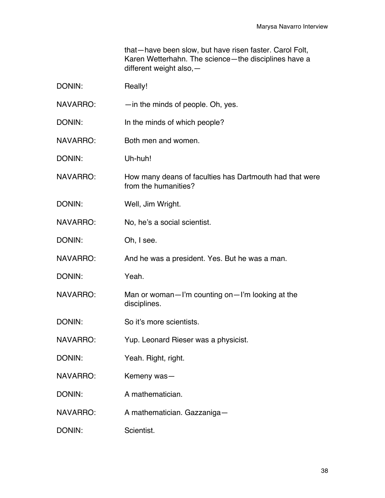that—have been slow, but have risen faster. Carol Folt, Karen Wetterhahn. The science—the disciplines have a different weight also,—

| DONIN:          | Really!                                                                         |
|-----------------|---------------------------------------------------------------------------------|
| NAVARRO:        | $-$ in the minds of people. Oh, yes.                                            |
| DONIN:          | In the minds of which people?                                                   |
| <b>NAVARRO:</b> | Both men and women.                                                             |
| DONIN:          | Uh-huh!                                                                         |
| NAVARRO:        | How many deans of faculties has Dartmouth had that were<br>from the humanities? |
| DONIN:          | Well, Jim Wright.                                                               |
| NAVARRO:        | No, he's a social scientist.                                                    |
| DONIN:          | Oh, I see.                                                                      |
| <b>NAVARRO:</b> | And he was a president. Yes. But he was a man.                                  |
| DONIN:          | Yeah.                                                                           |
| <b>NAVARRO:</b> | Man or woman-I'm counting on-I'm looking at the<br>disciplines.                 |
| DONIN:          | So it's more scientists.                                                        |
| <b>NAVARRO:</b> | Yup. Leonard Rieser was a physicist.                                            |
| DONIN:          | Yeah. Right, right.                                                             |
| NAVARRO:        | Kemeny was-                                                                     |
| DONIN:          | A mathematician.                                                                |
| <b>NAVARRO:</b> | A mathematician. Gazzaniga-                                                     |
| DONIN:          | Scientist.                                                                      |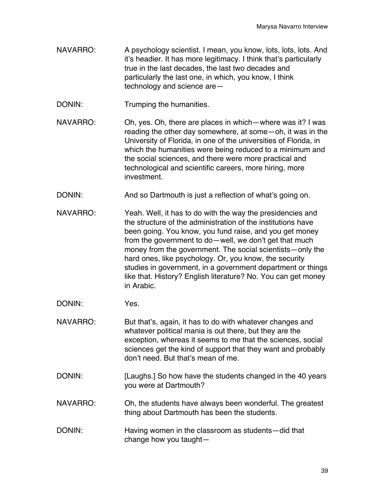NAVARRO: A psychology scientist. I mean, you know, lots, lots, lots. And it's headier. It has more legitimacy. I think that's particularly true in the last decades, the last two decades and particularly the last one, in which, you know, I think technology and science are—

DONIN: Trumping the humanities.

- NAVARRO: Oh, yes. Oh, there are places in which—where was it? I was reading the other day somewhere, at some—oh, it was in the University of Florida, in one of the universities of Florida, in which the humanities were being reduced to a minimum and the social sciences, and there were more practical and technological and scientific careers, more hiring, more investment.
- DONIN: And so Dartmouth is just a reflection of what's going on.
- NAVARRO: Yeah. Well, it has to do with the way the presidencies and the structure of the administration of the institutions have been going. You know, you fund raise, and you get money from the government to do—well, we don't get that much money from the government. The social scientists—only the hard ones, like psychology. Or, you know, the security studies in government, in a government department or things like that. History? English literature? No. You can get money in Arabic.
- DONIN: Yes.
- NAVARRO: But that's, again, it has to do with whatever changes and whatever political mania is out there, but they are the exception, whereas it seems to me that the sciences, social sciences get the kind of support that they want and probably don't need. But that's mean of me.
- DONIN: [Laughs.] So how have the students changed in the 40 years you were at Dartmouth?
- NAVARRO: Oh, the students have always been wonderful. The greatest thing about Dartmouth has been the students.
- DONIN: Having women in the classroom as students—did that change how you taught—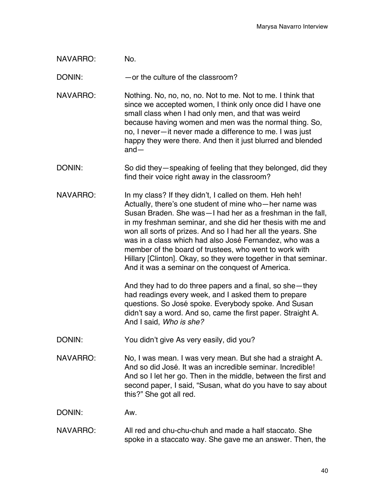NAVARRO: No.

DONIN: — — or the culture of the classroom?

NAVARRO: Nothing. No, no, no, no. Not to me. Not to me. I think that since we accepted women, I think only once did I have one small class when I had only men, and that was weird because having women and men was the normal thing. So, no, I never—it never made a difference to me. I was just happy they were there. And then it just blurred and blended and—

- DONIN: So did they—speaking of feeling that they belonged, did they find their voice right away in the classroom?
- NAVARRO: In my class? If they didn't, I called on them. Heh heh! Actually, there's one student of mine who—her name was Susan Braden. She was—I had her as a freshman in the fall, in my freshman seminar, and she did her thesis with me and won all sorts of prizes. And so I had her all the years. She was in a class which had also José Fernandez, who was a member of the board of trustees, who went to work with Hillary [Clinton]. Okay, so they were together in that seminar. And it was a seminar on the conquest of America.

And they had to do three papers and a final, so she—they had readings every week, and I asked them to prepare questions. So José spoke. Everybody spoke. And Susan didn't say a word. And so, came the first paper. Straight A. And I said, *Who is she?*

- DONIN: You didn't give As very easily, did you?
- NAVARRO: No, I was mean. I was very mean. But she had a straight A. And so did José. It was an incredible seminar. Incredible! And so I let her go. Then in the middle, between the first and second paper, I said, "Susan, what do you have to say about this?" She got all red.

DONIN: Aw.

NAVARRO: All red and chu-chu-chuh and made a half staccato. She spoke in a staccato way. She gave me an answer. Then, the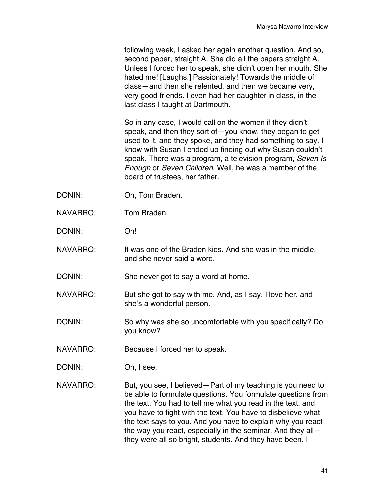following week, I asked her again another question. And so, second paper, straight A. She did all the papers straight A. Unless I forced her to speak, she didn't open her mouth. She hated me! [Laughs.] Passionately! Towards the middle of class—and then she relented, and then we became very, very good friends. I even had her daughter in class, in the last class I taught at Dartmouth.

So in any case, I would call on the women if they didn't speak, and then they sort of—you know, they began to get used to it, and they spoke, and they had something to say. I know with Susan I ended up finding out why Susan couldn't speak. There was a program, a television program, *Seven Is Enough* or *Seven Children*. Well, he was a member of the board of trustees, her father.

- DONIN: Oh, Tom Braden.
- NAVARRO: Tom Braden.

DONIN: Oh!

- NAVARRO: It was one of the Braden kids. And she was in the middle, and she never said a word.
- DONIN: She never got to say a word at home.
- NAVARRO: But she got to say with me. And, as I say, I love her, and she's a wonderful person.
- DONIN: So why was she so uncomfortable with you specifically? Do you know?
- NAVARRO: Because I forced her to speak.
- DONIN: Oh, I see.
- NAVARRO: But, you see, I believed—Part of my teaching is you need to be able to formulate questions. You formulate questions from the text. You had to tell me what you read in the text, and you have to fight with the text. You have to disbelieve what the text says to you. And you have to explain why you react the way you react, especially in the seminar. And they all they were all so bright, students. And they have been. I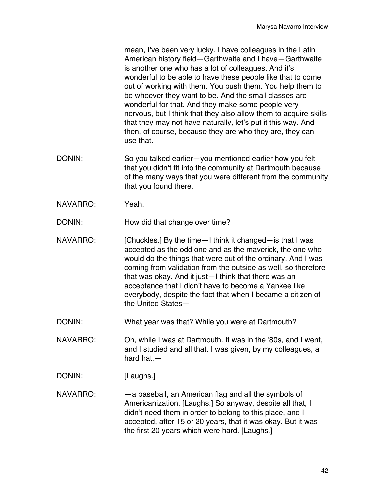mean, I've been very lucky. I have colleagues in the Latin American history field—Garthwaite and I have—Garthwaite is another one who has a lot of colleagues. And it's wonderful to be able to have these people like that to come out of working with them. You push them. You help them to be whoever they want to be. And the small classes are wonderful for that. And they make some people very nervous, but I think that they also allow them to acquire skills that they may not have naturally, let's put it this way. And then, of course, because they are who they are, they can use that.

- DONIN: So you talked earlier—you mentioned earlier how you felt that you didn't fit into the community at Dartmouth because of the many ways that you were different from the community that you found there.
- NAVARRO: Yeah.

DONIN: How did that change over time?

- NAVARRO: [Chuckles.] By the time—I think it changed—is that I was accepted as the odd one and as the maverick, the one who would do the things that were out of the ordinary. And I was coming from validation from the outside as well, so therefore that was okay. And it just—I think that there was an acceptance that I didn't have to become a Yankee like everybody, despite the fact that when I became a citizen of the United States—
- DONIN: What year was that? While you were at Dartmouth?
- NAVARRO: Oh, while I was at Dartmouth. It was in the '80s, and I went, and I studied and all that. I was given, by my colleagues, a hard hat,—
- DONIN: [Laughs.]
- NAVARRO: —a baseball, an American flag and all the symbols of Americanization. [Laughs.] So anyway, despite all that, I didn't need them in order to belong to this place, and I accepted, after 15 or 20 years, that it was okay. But it was the first 20 years which were hard. [Laughs.]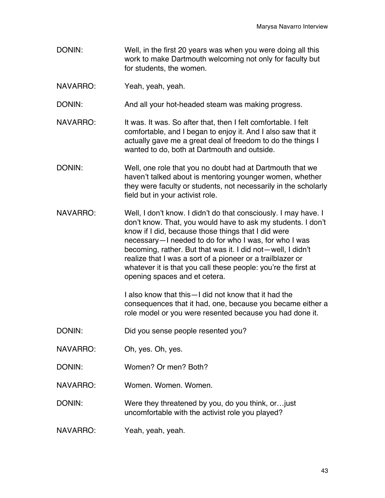- DONIN: Well, in the first 20 years was when you were doing all this work to make Dartmouth welcoming not only for faculty but for students, the women.
- NAVARRO: Yeah, yeah, yeah.

DONIN: And all your hot-headed steam was making progress.

- NAVARRO: It was. It was. So after that, then I felt comfortable. I felt comfortable, and I began to enjoy it. And I also saw that it actually gave me a great deal of freedom to do the things I wanted to do, both at Dartmouth and outside.
- DONIN: Well, one role that you no doubt had at Dartmouth that we haven't talked about is mentoring younger women, whether they were faculty or students, not necessarily in the scholarly field but in your activist role.
- NAVARRO: Well, I don't know. I didn't do that consciously. I may have. I don't know. That, you would have to ask my students. I don't know if I did, because those things that I did were necessary—I needed to do for who I was, for who I was becoming, rather. But that was it. I did not—well, I didn't realize that I was a sort of a pioneer or a trailblazer or whatever it is that you call these people: you're the first at opening spaces and et cetera.

I also know that this—I did not know that it had the consequences that it had, one, because you became either a role model or you were resented because you had done it.

- DONIN: Did you sense people resented you?
- NAVARRO: Oh, yes. Oh, yes.
- DONIN: Women? Or men? Both?
- NAVARRO: Women. Women. Women.

DONIN: Were they threatened by you, do you think, or... just uncomfortable with the activist role you played?

NAVARRO: Yeah, yeah, yeah.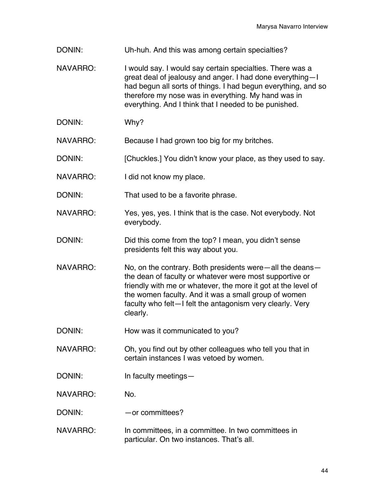- DONIN: Uh-huh. And this was among certain specialties?
- NAVARRO: I would say. I would say certain specialties. There was a great deal of jealousy and anger. I had done everything—I had begun all sorts of things. I had begun everything, and so therefore my nose was in everything. My hand was in everything. And I think that I needed to be punished.
- DONIN: Why?
- NAVARRO: Because I had grown too big for my britches.
- DONIN: [Chuckles.] You didn't know your place, as they used to say.
- NAVARRO: I did not know my place.
- DONIN: That used to be a favorite phrase.
- NAVARRO: Yes, yes, yes. I think that is the case. Not everybody. Not everybody.
- DONIN: Did this come from the top? I mean, you didn't sense presidents felt this way about you.
- NAVARRO: No, on the contrary. Both presidents were—all the deans the dean of faculty or whatever were most supportive or friendly with me or whatever, the more it got at the level of the women faculty. And it was a small group of women faculty who felt—I felt the antagonism very clearly. Very clearly.
- DONIN: How was it communicated to you?
- NAVARRO: Oh, you find out by other colleagues who tell you that in certain instances I was vetoed by women.
- DONIN: In faculty meetings—
- NAVARRO: No.
- DONIN: — or committees?
- NAVARRO: In committees, in a committee. In two committees in particular. On two instances. That's all.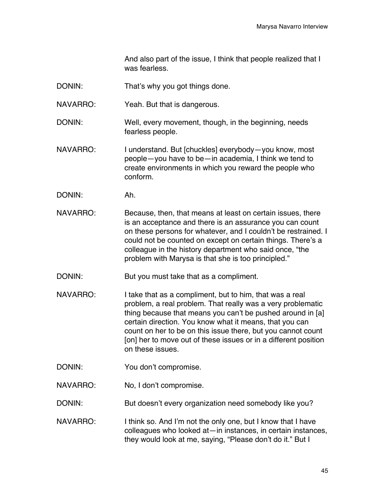And also part of the issue, I think that people realized that I was fearless.

- DONIN: That's why you got things done.
- NAVARRO: Yeah. But that is dangerous.
- DONIN: Well, every movement, though, in the beginning, needs fearless people.
- NAVARRO: I understand. But [chuckles] everybody-you know, most people—you have to be—in academia, I think we tend to create environments in which you reward the people who conform.
- DONIN: Ah.
- NAVARRO: Because, then, that means at least on certain issues, there is an acceptance and there is an assurance you can count on these persons for whatever, and I couldn't be restrained. I could not be counted on except on certain things. There's a colleague in the history department who said once, "the problem with Marysa is that she is too principled."
- DONIN: But you must take that as a compliment.
- NAVARRO: I take that as a compliment, but to him, that was a real problem, a real problem. That really was a very problematic thing because that means you can't be pushed around in [a] certain direction. You know what it means, that you can count on her to be on this issue there, but you cannot count [on] her to move out of these issues or in a different position on these issues.
- DONIN: You don't compromise.
- NAVARRO: No, I don't compromise.

DONIN: But doesn't every organization need somebody like you?

NAVARRO: I think so. And I'm not the only one, but I know that I have colleagues who looked at—in instances, in certain instances, they would look at me, saying, "Please don't do it." But I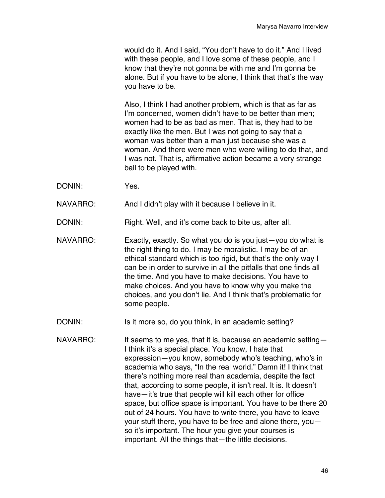would do it. And I said, "You don't have to do it." And I lived with these people, and I love some of these people, and I know that they're not gonna be with me and I'm gonna be alone. But if you have to be alone, I think that that's the way you have to be.

Also, I think I had another problem, which is that as far as I'm concerned, women didn't have to be better than men; women had to be as bad as men. That is, they had to be exactly like the men. But I was not going to say that a woman was better than a man just because she was a woman. And there were men who were willing to do that, and I was not. That is, affirmative action became a very strange ball to be played with.

DONIN: Yes.

NAVARRO: And I didn't play with it because I believe in it.

DONIN: Right. Well, and it's come back to bite us, after all.

- NAVARRO: Exactly, exactly. So what you do is you just—you do what is the right thing to do. I may be moralistic. I may be of an ethical standard which is too rigid, but that's the only way I can be in order to survive in all the pitfalls that one finds all the time. And you have to make decisions. You have to make choices. And you have to know why you make the choices, and you don't lie. And I think that's problematic for some people.
- DONIN: Is it more so, do you think, in an academic setting?
- NAVARRO: It seems to me yes, that it is, because an academic setting-I think it's a special place. You know, I hate that expression—you know, somebody who's teaching, who's in academia who says, "In the real world." Damn it! I think that there's nothing more real than academia, despite the fact that, according to some people, it isn't real. It is. It doesn't have—it's true that people will kill each other for office space, but office space is important. You have to be there 20 out of 24 hours. You have to write there, you have to leave your stuff there, you have to be free and alone there, you so it's important. The hour you give your courses is important. All the things that—the little decisions.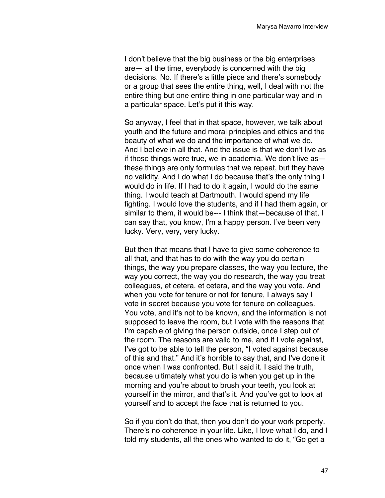I don't believe that the big business or the big enterprises are— all the time, everybody is concerned with the big decisions. No. If there's a little piece and there's somebody or a group that sees the entire thing, well, I deal with not the entire thing but one entire thing in one particular way and in a particular space. Let's put it this way.

So anyway, I feel that in that space, however, we talk about youth and the future and moral principles and ethics and the beauty of what we do and the importance of what we do. And I believe in all that. And the issue is that we don't live as if those things were true, we in academia. We don't live as these things are only formulas that we repeat, but they have no validity. And I do what I do because that's the only thing I would do in life. If I had to do it again, I would do the same thing. I would teach at Dartmouth. I would spend my life fighting. I would love the students, and if I had them again, or similar to them, it would be--- I think that—because of that, I can say that, you know, I'm a happy person. I've been very lucky. Very, very, very lucky.

But then that means that I have to give some coherence to all that, and that has to do with the way you do certain things, the way you prepare classes, the way you lecture, the way you correct, the way you do research, the way you treat colleagues, et cetera, et cetera, and the way you vote. And when you vote for tenure or not for tenure, I always say I vote in secret because you vote for tenure on colleagues. You vote, and it's not to be known, and the information is not supposed to leave the room, but I vote with the reasons that I'm capable of giving the person outside, once I step out of the room. The reasons are valid to me, and if I vote against, I've got to be able to tell the person, "I voted against because of this and that." And it's horrible to say that, and I've done it once when I was confronted. But I said it. I said the truth, because ultimately what you do is when you get up in the morning and you're about to brush your teeth, you look at yourself in the mirror, and that's it. And you've got to look at yourself and to accept the face that is returned to you.

So if you don't do that, then you don't do your work properly. There's no coherence in your life. Like, I love what I do, and I told my students, all the ones who wanted to do it, "Go get a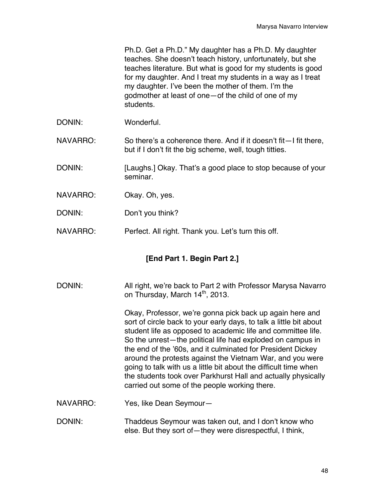Ph.D. Get a Ph.D." My daughter has a Ph.D. My daughter teaches. She doesn't teach history, unfortunately, but she teaches literature. But what is good for my students is good for my daughter. And I treat my students in a way as I treat my daughter. I've been the mother of them. I'm the godmother at least of one—of the child of one of my students.

DONIN: Wonderful.

NAVARRO: So there's a coherence there. And if it doesn't fit—I fit there, but if I don't fit the big scheme, well, tough titties.

- DONIN: [Laughs.] Okay. That's a good place to stop because of your seminar.
- NAVARRO: Okay. Oh, yes.
- DONIN: Don't you think?
- NAVARRO: Perfect. All right. Thank you. Let's turn this off.

## **[End Part 1. Begin Part 2.]**

DONIN: All right, we're back to Part 2 with Professor Marysa Navarro on Thursday, March 14<sup>th</sup>, 2013.

> Okay, Professor, we're gonna pick back up again here and sort of circle back to your early days, to talk a little bit about student life as opposed to academic life and committee life. So the unrest—the political life had exploded on campus in the end of the '60s, and it culminated for President Dickey around the protests against the Vietnam War, and you were going to talk with us a little bit about the difficult time when the students took over Parkhurst Hall and actually physically carried out some of the people working there.

- NAVARRO: Yes, like Dean Seymour—
- DONIN: Thaddeus Seymour was taken out, and I don't know who else. But they sort of—they were disrespectful, I think,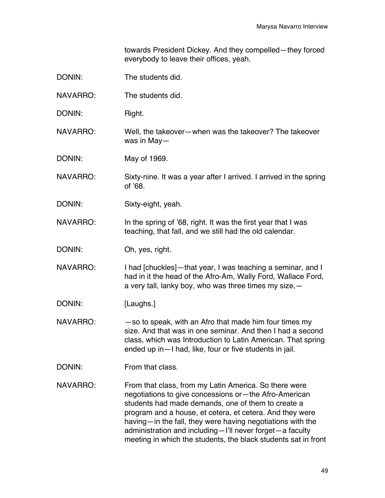towards President Dickey. And they compelled—they forced everybody to leave their offices, yeah.

| DONIN:          | The students did.                                                                                                                                                                                                                                                                                                                                                                                                              |
|-----------------|--------------------------------------------------------------------------------------------------------------------------------------------------------------------------------------------------------------------------------------------------------------------------------------------------------------------------------------------------------------------------------------------------------------------------------|
| NAVARRO:        | The students did.                                                                                                                                                                                                                                                                                                                                                                                                              |
| DONIN:          | Right.                                                                                                                                                                                                                                                                                                                                                                                                                         |
| <b>NAVARRO:</b> | Well, the takeover-when was the takeover? The takeover<br>was in May-                                                                                                                                                                                                                                                                                                                                                          |
| DONIN:          | May of 1969.                                                                                                                                                                                                                                                                                                                                                                                                                   |
| <b>NAVARRO:</b> | Sixty-nine. It was a year after I arrived. I arrived in the spring<br>of '68.                                                                                                                                                                                                                                                                                                                                                  |
| DONIN:          | Sixty-eight, yeah.                                                                                                                                                                                                                                                                                                                                                                                                             |
| <b>NAVARRO:</b> | In the spring of '68, right. It was the first year that I was<br>teaching, that fall, and we still had the old calendar.                                                                                                                                                                                                                                                                                                       |
| DONIN:          | Oh, yes, right.                                                                                                                                                                                                                                                                                                                                                                                                                |
| <b>NAVARRO:</b> | I had [chuckles]—that year, I was teaching a seminar, and I<br>had in it the head of the Afro-Am, Wally Ford, Wallace Ford,<br>a very tall, lanky boy, who was three times my size, -                                                                                                                                                                                                                                          |
| DONIN:          | [Laughs.]                                                                                                                                                                                                                                                                                                                                                                                                                      |
| NAVARRO:        | -so to speak, with an Afro that made him four times my<br>size. And that was in one seminar. And then I had a second<br>class, which was Introduction to Latin American. That spring<br>ended up in-I had, like, four or five students in jail.                                                                                                                                                                                |
| DONIN:          | From that class.                                                                                                                                                                                                                                                                                                                                                                                                               |
| NAVARRO:        | From that class, from my Latin America. So there were<br>negotiations to give concessions or - the Afro-American<br>students had made demands, one of them to create a<br>program and a house, et cetera, et cetera. And they were<br>having—in the fall, they were having negotiations with the<br>administration and including-I'll never forget-a faculty<br>meeting in which the students, the black students sat in front |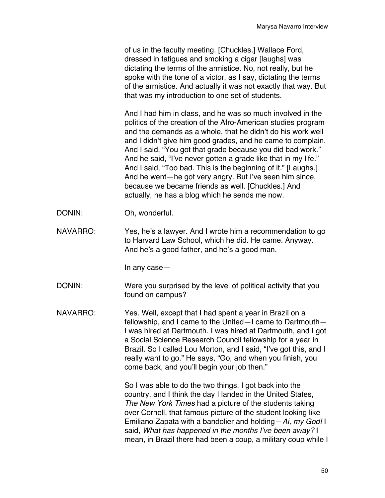of us in the faculty meeting. [Chuckles.] Wallace Ford, dressed in fatigues and smoking a cigar [laughs] was dictating the terms of the armistice. No, not really, but he spoke with the tone of a victor, as I say, dictating the terms of the armistice. And actually it was not exactly that way. But that was my introduction to one set of students.

And I had him in class, and he was so much involved in the politics of the creation of the Afro-American studies program and the demands as a whole, that he didn't do his work well and I didn't give him good grades, and he came to complain. And I said, "You got that grade because you did bad work." And he said, "I've never gotten a grade like that in my life." And I said, "Too bad. This is the beginning of it." [Laughs.] And he went—he got very angry. But I've seen him since, because we became friends as well. [Chuckles.] And actually, he has a blog which he sends me now.

- DONIN: Oh, wonderful.
- NAVARRO: Yes, he's a lawyer. And I wrote him a recommendation to go to Harvard Law School, which he did. He came. Anyway. And he's a good father, and he's a good man.

In any case—

- DONIN: Were you surprised by the level of political activity that you found on campus?
- NAVARRO: Yes. Well, except that I had spent a year in Brazil on a fellowship, and I came to the United—I came to Dartmouth— I was hired at Dartmouth. I was hired at Dartmouth, and I got a Social Science Research Council fellowship for a year in Brazil. So I called Lou Morton, and I said, "I've got this, and I really want to go." He says, "Go, and when you finish, you come back, and you'll begin your job then."

So I was able to do the two things. I got back into the country, and I think the day I landed in the United States, *The New York Times* had a picture of the students taking over Cornell, that famous picture of the student looking like Emiliano Zapata with a bandolier and holding—*Ai, my God!* I said, *What has happened in the months I've been away?* I mean, in Brazil there had been a coup, a military coup while I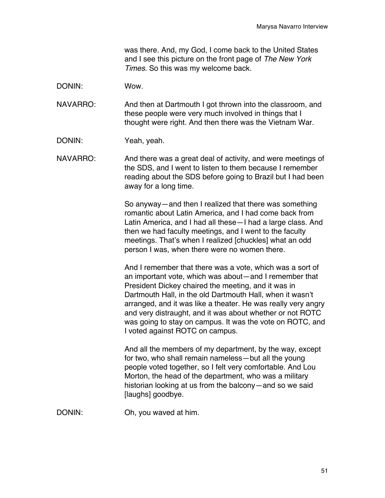was there. And, my God, I come back to the United States and I see this picture on the front page of *The New York Times*. So this was my welcome back.

DONIN: Wow.

NAVARRO: And then at Dartmouth I got thrown into the classroom, and these people were very much involved in things that I thought were right. And then there was the Vietnam War.

DONIN: Yeah, yeah.

NAVARRO: And there was a great deal of activity, and were meetings of the SDS, and I went to listen to them because I remember reading about the SDS before going to Brazil but I had been away for a long time.

> So anyway—and then I realized that there was something romantic about Latin America, and I had come back from Latin America, and I had all these—I had a large class. And then we had faculty meetings, and I went to the faculty meetings. That's when I realized [chuckles] what an odd person I was, when there were no women there.

And I remember that there was a vote, which was a sort of an important vote, which was about—and I remember that President Dickey chaired the meeting, and it was in Dartmouth Hall, in the old Dartmouth Hall, when it wasn't arranged, and it was like a theater. He was really very angry and very distraught, and it was about whether or not ROTC was going to stay on campus. It was the vote on ROTC, and I voted against ROTC on campus.

And all the members of my department, by the way, except for two, who shall remain nameless—but all the young people voted together, so I felt very comfortable. And Lou Morton, the head of the department, who was a military historian looking at us from the balcony—and so we said [laughs] goodbye.

DONIN: Oh, you waved at him.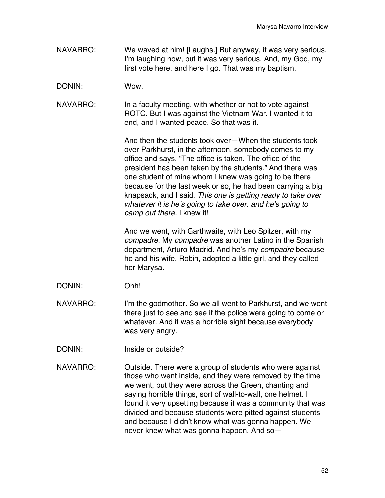- NAVARRO: We waved at him! [Laughs.] But anyway, it was very serious. I'm laughing now, but it was very serious. And, my God, my first vote here, and here I go. That was my baptism.
- DONIN: Wow.
- NAVARRO: In a faculty meeting, with whether or not to vote against ROTC. But I was against the Vietnam War. I wanted it to end, and I wanted peace. So that was it.

And then the students took over—When the students took over Parkhurst, in the afternoon, somebody comes to my office and says, "The office is taken. The office of the president has been taken by the students." And there was one student of mine whom I knew was going to be there because for the last week or so, he had been carrying a big knapsack, and I said, *This one is getting ready to take over whatever it is he's going to take over, and he's going to camp out there.* I knew it!

And we went, with Garthwaite, with Leo Spitzer, with my *compadre*. My *compadre* was another Latino in the Spanish department, Arturo Madrid. And he's my *compadre* because he and his wife, Robin, adopted a little girl, and they called her Marysa.

- DONIN: Ohh!
- NAVARRO: I'm the godmother. So we all went to Parkhurst, and we went there just to see and see if the police were going to come or whatever. And it was a horrible sight because everybody was very angry.
- DONIN: Inside or outside?
- NAVARRO: Outside. There were a group of students who were against those who went inside, and they were removed by the time we went, but they were across the Green, chanting and saying horrible things, sort of wall-to-wall, one helmet. I found it very upsetting because it was a community that was divided and because students were pitted against students and because I didn't know what was gonna happen. We never knew what was gonna happen. And so—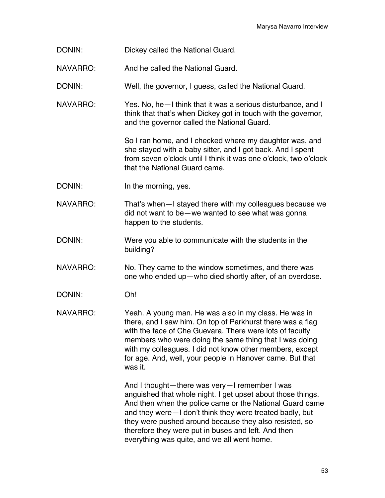- DONIN: Dickey called the National Guard.
- NAVARRO: And he called the National Guard.
- DONIN: Well, the governor, I guess, called the National Guard.
- NAVARRO: Yes. No, he—I think that it was a serious disturbance, and I think that that's when Dickey got in touch with the governor, and the governor called the National Guard.

So I ran home, and I checked where my daughter was, and she stayed with a baby sitter, and I got back. And I spent from seven o'clock until I think it was one o'clock, two o'clock that the National Guard came.

- DONIN: In the morning, yes.
- NAVARRO: That's when–I stayed there with my colleagues because we did not want to be—we wanted to see what was gonna happen to the students.
- DONIN: Were you able to communicate with the students in the building?
- NAVARRO: No. They came to the window sometimes, and there was one who ended up—who died shortly after, of an overdose.
- DONIN: Oh!
- NAVARRO: Yeah. A young man. He was also in my class. He was in there, and I saw him. On top of Parkhurst there was a flag with the face of Che Guevara. There were lots of faculty members who were doing the same thing that I was doing with my colleagues. I did not know other members, except for age. And, well, your people in Hanover came. But that was it.

And I thought—there was very—I remember I was anguished that whole night. I get upset about those things. And then when the police came or the National Guard came and they were—I don't think they were treated badly, but they were pushed around because they also resisted, so therefore they were put in buses and left. And then everything was quite, and we all went home.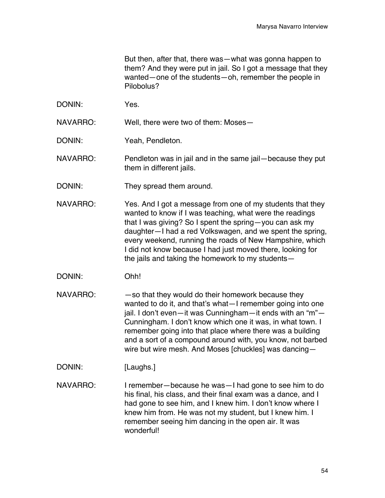But then, after that, there was—what was gonna happen to them? And they were put in jail. So I got a message that they wanted—one of the students—oh, remember the people in Pilobolus?

DONIN: Yes.

NAVARRO: Well, there were two of them: Moses—

DONIN: Yeah, Pendleton.

NAVARRO: Pendleton was in jail and in the same jail—because they put them in different jails.

- DONIN: They spread them around.
- NAVARRO: Yes. And I got a message from one of my students that they wanted to know if I was teaching, what were the readings that I was giving? So I spent the spring—you can ask my daughter—I had a red Volkswagen, and we spent the spring, every weekend, running the roads of New Hampshire, which I did not know because I had just moved there, looking for the jails and taking the homework to my students—
- DONIN: Ohh!
- $NAVAR$ RO:  $-$ so that they would do their homework because they wanted to do it, and that's what—I remember going into one jail. I don't even—it was Cunningham—it ends with an "m"— Cunningham. I don't know which one it was, in what town. I remember going into that place where there was a building and a sort of a compound around with, you know, not barbed wire but wire mesh. And Moses [chuckles] was dancing—
- DONIN: [Laughs.]
- NAVARRO: I remember—because he was—I had gone to see him to do his final, his class, and their final exam was a dance, and I had gone to see him, and I knew him. I don't know where I knew him from. He was not my student, but I knew him. I remember seeing him dancing in the open air. It was wonderful!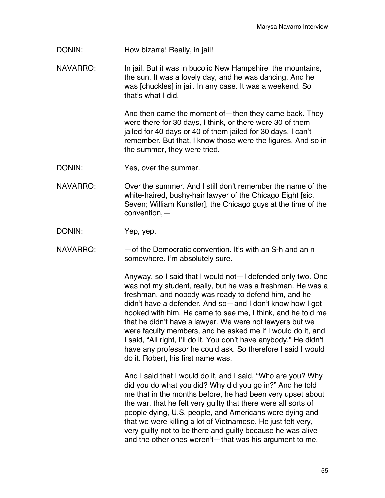DONIN: How bizarre! Really, in jail!

NAVARRO: In jail. But it was in bucolic New Hampshire, the mountains, the sun. It was a lovely day, and he was dancing. And he was [chuckles] in jail. In any case. It was a weekend. So that's what I did.

> And then came the moment of—then they came back. They were there for 30 days, I think, or there were 30 of them jailed for 40 days or 40 of them jailed for 30 days. I can't remember. But that, I know those were the figures. And so in the summer, they were tried.

- DONIN: Yes, over the summer.
- NAVARRO: Over the summer. And I still don't remember the name of the white-haired, bushy-hair lawyer of the Chicago Eight [sic, Seven; William Kunstler], the Chicago guys at the time of the convention,—
- DONIN: Yep, yep.
- NAVARRO: — of the Democratic convention. It's with an S-h and an n somewhere. I'm absolutely sure.

Anyway, so I said that I would not—I defended only two. One was not my student, really, but he was a freshman. He was a freshman, and nobody was ready to defend him, and he didn't have a defender. And so—and I don't know how I got hooked with him. He came to see me, I think, and he told me that he didn't have a lawyer. We were not lawyers but we were faculty members, and he asked me if I would do it, and I said, "All right, I'll do it. You don't have anybody." He didn't have any professor he could ask. So therefore I said I would do it. Robert, his first name was.

And I said that I would do it, and I said, "Who are you? Why did you do what you did? Why did you go in?" And he told me that in the months before, he had been very upset about the war, that he felt very guilty that there were all sorts of people dying, U.S. people, and Americans were dying and that we were killing a lot of Vietnamese. He just felt very, very guilty not to be there and guilty because he was alive and the other ones weren't—that was his argument to me.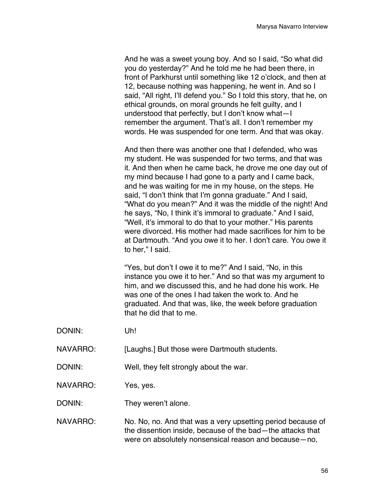And he was a sweet young boy. And so I said, "So what did you do yesterday?" And he told me he had been there, in front of Parkhurst until something like 12 o'clock, and then at 12, because nothing was happening, he went in. And so I said, "All right, I'll defend you." So I told this story, that he, on ethical grounds, on moral grounds he felt guilty, and I understood that perfectly, but I don't know what—I remember the argument. That's all. I don't remember my words. He was suspended for one term. And that was okay.

And then there was another one that I defended, who was my student. He was suspended for two terms, and that was it. And then when he came back, he drove me one day out of my mind because I had gone to a party and I came back, and he was waiting for me in my house, on the steps. He said, "I don't think that I'm gonna graduate." And I said, "What do you mean?" And it was the middle of the night! And he says, "No, I think it's immoral to graduate." And I said, "Well, it's immoral to do that to your mother." His parents were divorced. His mother had made sacrifices for him to be at Dartmouth. "And you owe it to her. I don't care. You owe it to her," I said.

"Yes, but don't I owe it to me?" And I said, "No, in this instance you owe it to her." And so that was my argument to him, and we discussed this, and he had done his work. He was one of the ones I had taken the work to. And he graduated. And that was, like, the week before graduation that he did that to me.

- DONIN: Uh!
- NAVARRO: [Laughs.] But those were Dartmouth students.
- DONIN: Well, they felt strongly about the war.
- NAVARRO: Yes, yes.

DONIN: They weren't alone.

NAVARRO: No. No, no. And that was a very upsetting period because of the dissention inside, because of the bad—the attacks that were on absolutely nonsensical reason and because—no,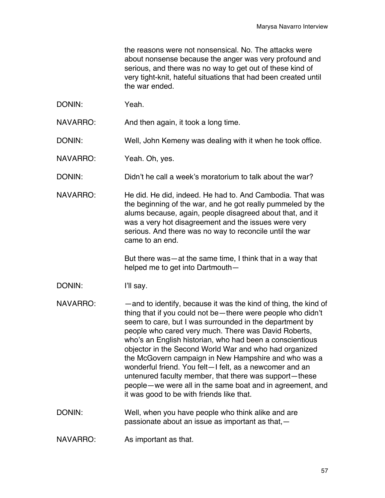the reasons were not nonsensical. No. The attacks were about nonsense because the anger was very profound and serious, and there was no way to get out of these kind of very tight-knit, hateful situations that had been created until the war ended.

DONIN: Yeah.

NAVARRO: And then again, it took a long time.

DONIN: Well, John Kemeny was dealing with it when he took office.

NAVARRO: Yeah. Oh, yes.

DONIN: Didn't he call a week's moratorium to talk about the war?

NAVARRO: He did. He did, indeed. He had to. And Cambodia. That was the beginning of the war, and he got really pummeled by the alums because, again, people disagreed about that, and it was a very hot disagreement and the issues were very serious. And there was no way to reconcile until the war came to an end.

> But there was—at the same time, I think that in a way that helped me to get into Dartmouth—

- DONIN: I'll say.
- NAVARRO: —and to identify, because it was the kind of thing, the kind of thing that if you could not be—there were people who didn't seem to care, but I was surrounded in the department by people who cared very much. There was David Roberts, who's an English historian, who had been a conscientious objector in the Second World War and who had organized the McGovern campaign in New Hampshire and who was a wonderful friend. You felt—I felt, as a newcomer and an untenured faculty member, that there was support—these people—we were all in the same boat and in agreement, and it was good to be with friends like that.
- DONIN: Well, when you have people who think alike and are passionate about an issue as important as that,—
- NAVARRO: As important as that.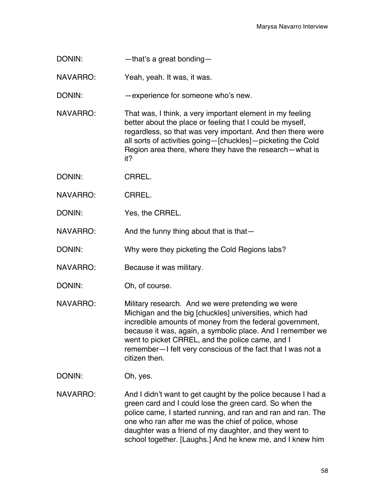DONIN: — that's a great bonding—

NAVARRO: Yeah, yeah. It was, it was.

DONIN: —experience for someone who's new.

- NAVARRO: That was, I think, a very important element in my feeling better about the place or feeling that I could be myself, regardless, so that was very important. And then there were all sorts of activities going—[chuckles]—picketing the Cold Region area there, where they have the research—what is it?
- DONIN: CRREL.
- NAVARRO: CRREL.
- DONIN: Yes, the CRREL.

NAVARRO: And the funny thing about that is that-

- DONIN: Why were they picketing the Cold Regions labs?
- NAVARRO: Because it was military.
- DONIN: Oh, of course.
- NAVARRO: Military research. And we were pretending we were Michigan and the big [chuckles] universities, which had incredible amounts of money from the federal government, because it was, again, a symbolic place. And I remember we went to picket CRREL, and the police came, and I remember—I felt very conscious of the fact that I was not a citizen then.
- DONIN: Oh, yes.
- NAVARRO: And I didn't want to get caught by the police because I had a green card and I could lose the green card. So when the police came, I started running, and ran and ran and ran. The one who ran after me was the chief of police, whose daughter was a friend of my daughter, and they went to school together. [Laughs.] And he knew me, and I knew him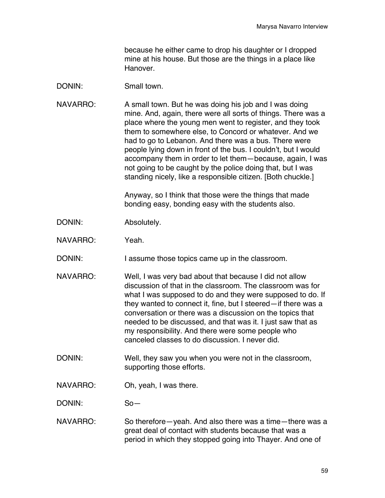because he either came to drop his daughter or I dropped mine at his house. But those are the things in a place like Hanover.

## DONIN: Small town.

NAVARRO: A small town. But he was doing his job and I was doing mine. And, again, there were all sorts of things. There was a place where the young men went to register, and they took them to somewhere else, to Concord or whatever. And we had to go to Lebanon. And there was a bus. There were people lying down in front of the bus. I couldn't, but I would accompany them in order to let them—because, again, I was not going to be caught by the police doing that, but I was standing nicely, like a responsible citizen. [Both chuckle.]

> Anyway, so I think that those were the things that made bonding easy, bonding easy with the students also.

- DONIN: Absolutely.
- NAVARRO: Yeah.

DONIN: I assume those topics came up in the classroom.

- NAVARRO: Well, I was very bad about that because I did not allow discussion of that in the classroom. The classroom was for what I was supposed to do and they were supposed to do. If they wanted to connect it, fine, but I steered—if there was a conversation or there was a discussion on the topics that needed to be discussed, and that was it. I just saw that as my responsibility. And there were some people who canceled classes to do discussion. I never did.
- DONIN: Well, they saw you when you were not in the classroom, supporting those efforts.
- NAVARRO: Oh, yeah, I was there.

DONIN: So—

NAVARRO: So therefore—yeah. And also there was a time—there was a great deal of contact with students because that was a period in which they stopped going into Thayer. And one of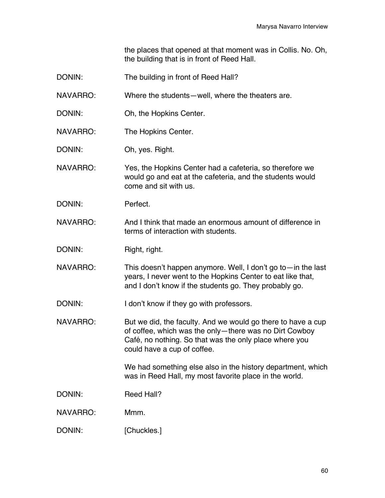the places that opened at that moment was in Collis. No. Oh, the building that is in front of Reed Hall.

| DONIN: | The building in front of Reed Hall? |  |
|--------|-------------------------------------|--|
|--------|-------------------------------------|--|

NAVARRO: Where the students—well, where the theaters are.

- DONIN: Oh, the Hopkins Center.
- NAVARRO: The Hopkins Center.

DONIN: Oh, yes. Right.

NAVARRO: Yes, the Hopkins Center had a cafeteria, so therefore we would go and eat at the cafeteria, and the students would come and sit with us.

DONIN: Perfect.

NAVARRO: And I think that made an enormous amount of difference in terms of interaction with students.

DONIN: Right, right.

NAVARRO: This doesn't happen anymore. Well, I don't go to—in the last years, I never went to the Hopkins Center to eat like that, and I don't know if the students go. They probably go.

DONIN: I don't know if they go with professors.

NAVARRO: But we did, the faculty. And we would go there to have a cup of coffee, which was the only—there was no Dirt Cowboy Café, no nothing. So that was the only place where you could have a cup of coffee.

> We had something else also in the history department, which was in Reed Hall, my most favorite place in the world.

DONIN: Reed Hall?

NAVARRO: Mmm.

DONIN: [Chuckles.]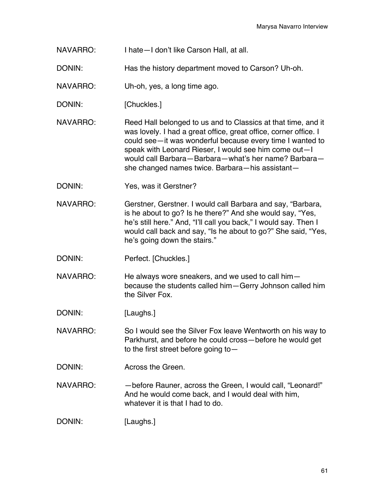- NAVARRO: I hate—I don't like Carson Hall, at all.
- DONIN: Has the history department moved to Carson? Uh-oh.
- NAVARRO: Uh-oh, yes, a long time ago.
- DONIN: [Chuckles.]
- NAVARRO: Reed Hall belonged to us and to Classics at that time, and it was lovely. I had a great office, great office, corner office. I could see—it was wonderful because every time I wanted to speak with Leonard Rieser, I would see him come out—I would call Barbara—Barbara—what's her name? Barbara she changed names twice. Barbara—his assistant—
- DONIN: Yes, was it Gerstner?
- NAVARRO: Gerstner, Gerstner. I would call Barbara and say, "Barbara, is he about to go? Is he there?" And she would say, "Yes, he's still here." And, "I'll call you back," I would say. Then I would call back and say, "Is he about to go?" She said, "Yes, he's going down the stairs."
- DONIN: Perfect. [Chuckles.]
- NAVARRO: He always wore sneakers, and we used to call him because the students called him—Gerry Johnson called him the Silver Fox.
- DONIN: [Laughs.]
- NAVARRO: So I would see the Silver Fox leave Wentworth on his way to Parkhurst, and before he could cross—before he would get to the first street before going to—
- DONIN: Across the Green.
- NAVARRO: —before Rauner, across the Green, I would call, "Leonard!" And he would come back, and I would deal with him, whatever it is that I had to do.
- DONIN: [Laughs.]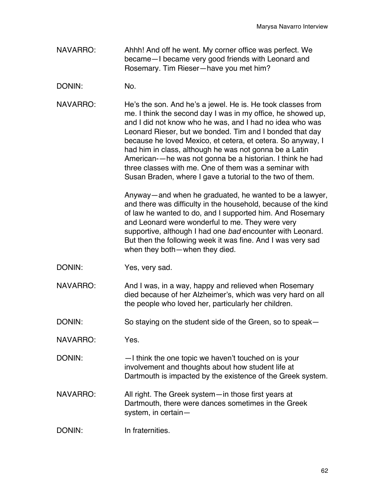- NAVARRO: Ahhh! And off he went. My corner office was perfect. We became—I became very good friends with Leonard and Rosemary. Tim Rieser—have you met him?
- DONIN: No.
- NAVARRO: He's the son. And he's a jewel. He is. He took classes from me. I think the second day I was in my office, he showed up, and I did not know who he was, and I had no idea who was Leonard Rieser, but we bonded. Tim and I bonded that day because he loved Mexico, et cetera, et cetera. So anyway, I had him in class, although he was not gonna be a Latin American-—he was not gonna be a historian. I think he had three classes with me. One of them was a seminar with Susan Braden, where I gave a tutorial to the two of them.

Anyway—and when he graduated, he wanted to be a lawyer, and there was difficulty in the household, because of the kind of law he wanted to do, and I supported him. And Rosemary and Leonard were wonderful to me. They were very supportive, although I had one *bad* encounter with Leonard. But then the following week it was fine. And I was very sad when they both—when they died.

- DONIN: Yes, very sad.
- NAVARRO: And I was, in a way, happy and relieved when Rosemary died because of her Alzheimer's, which was very hard on all the people who loved her, particularly her children.
- DONIN: So staying on the student side of the Green, so to speak-
- NAVARRO: Yes.
- DONIN:  $-1$  think the one topic we haven't touched on is your involvement and thoughts about how student life at Dartmouth is impacted by the existence of the Greek system.
- NAVARRO: All right. The Greek system—in those first years at Dartmouth, there were dances sometimes in the Greek system, in certain—

DONIN: In fraternities.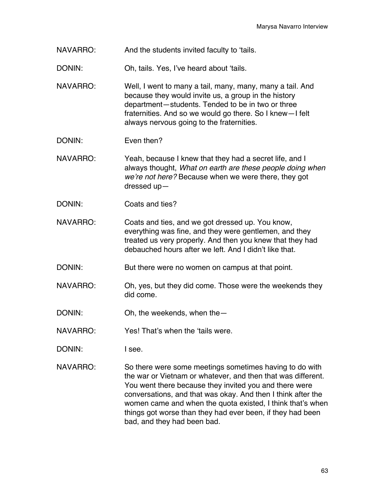- NAVARRO: And the students invited faculty to 'tails.
- DONIN: Oh, tails. Yes, I've heard about 'tails.
- NAVARRO: Well, I went to many a tail, many, many, many a tail. And because they would invite us, a group in the history department—students. Tended to be in two or three fraternities. And so we would go there. So I knew—I felt always nervous going to the fraternities.
- DONIN: Even then?
- NAVARRO: Yeah, because I knew that they had a secret life, and I always thought, *What on earth are these people doing when we're not here?* Because when we were there, they got dressed up—
- DONIN: Coats and ties?
- NAVARRO: Coats and ties, and we got dressed up. You know, everything was fine, and they were gentlemen, and they treated us very properly. And then you knew that they had debauched hours after we left. And I didn't like that.
- DONIN: But there were no women on campus at that point.
- NAVARRO: Oh, yes, but they did come. Those were the weekends they did come.
- DONIN: Oh, the weekends, when the -
- NAVARRO: Yes! That's when the 'tails were.
- DONIN: I see.
- NAVARRO: So there were some meetings sometimes having to do with the war or Vietnam or whatever, and then that was different. You went there because they invited you and there were conversations, and that was okay. And then I think after the women came and when the quota existed, I think that's when things got worse than they had ever been, if they had been bad, and they had been bad.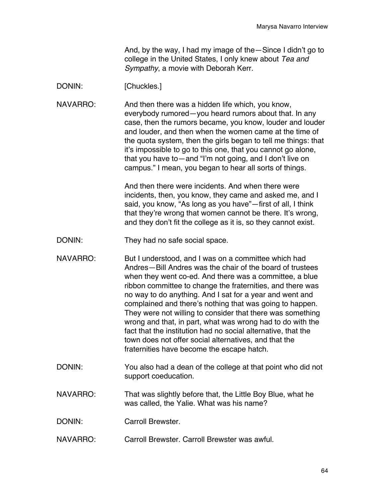And, by the way, I had my image of the—Since I didn't go to college in the United States, I only knew about *Tea and Sympathy*, a movie with Deborah Kerr.

## DONIN: [Chuckles.]

NAVARRO: And then there was a hidden life which, you know, everybody rumored—you heard rumors about that. In any case, then the rumors became, you know, louder and louder and louder, and then when the women came at the time of the quota system, then the girls began to tell me things: that it's impossible to go to this one, that you cannot go alone, that you have to—and "I'm not going, and I don't live on campus." I mean, you began to hear all sorts of things.

> And then there were incidents. And when there were incidents, then, you know, they came and asked me, and I said, you know, "As long as you have"—first of all, I think that they're wrong that women cannot be there. It's wrong, and they don't fit the college as it is, so they cannot exist.

- DONIN: They had no safe social space.
- NAVARRO: But I understood, and I was on a committee which had Andres—Bill Andres was the chair of the board of trustees when they went co-ed. And there was a committee, a blue ribbon committee to change the fraternities, and there was no way to do anything. And I sat for a year and went and complained and there's nothing that was going to happen. They were not willing to consider that there was something wrong and that, in part, what was wrong had to do with the fact that the institution had no social alternative, that the town does not offer social alternatives, and that the fraternities have become the escape hatch.
- DONIN: You also had a dean of the college at that point who did not support coeducation.
- NAVARRO: That was slightly before that, the Little Boy Blue, what he was called, the Yalie. What was his name?
- DONIN: Carroll Brewster.
- NAVARRO: Carroll Brewster. Carroll Brewster was awful.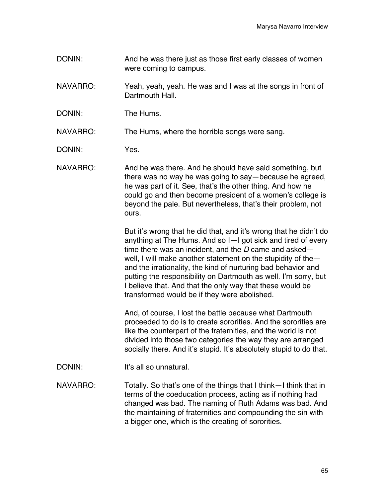- DONIN: And he was there just as those first early classes of women were coming to campus.
- NAVARRO: Yeah, yeah, yeah. He was and I was at the songs in front of Dartmouth Hall.
- DONIN: The Hums.

NAVARRO: The Hums, where the horrible songs were sang.

DONIN: Yes.

NAVARRO: And he was there. And he should have said something, but there was no way he was going to say—because he agreed, he was part of it. See, that's the other thing. And how he could go and then become president of a women's college is beyond the pale. But nevertheless, that's their problem, not ours.

> But it's wrong that he did that, and it's wrong that he didn't do anything at The Hums. And so I—I got sick and tired of every time there was an incident, and the *D* came and asked well, I will make another statement on the stupidity of the and the irrationality, the kind of nurturing bad behavior and putting the responsibility on Dartmouth as well. I'm sorry, but I believe that. And that the only way that these would be transformed would be if they were abolished.

> And, of course, I lost the battle because what Dartmouth proceeded to do is to create sororities. And the sororities are like the counterpart of the fraternities, and the world is not divided into those two categories the way they are arranged socially there. And it's stupid. It's absolutely stupid to do that.

DONIN: It's all so unnatural.

NAVARRO: Totally. So that's one of the things that I think—I think that in terms of the coeducation process, acting as if nothing had changed was bad. The naming of Ruth Adams was bad. And the maintaining of fraternities and compounding the sin with a bigger one, which is the creating of sororities.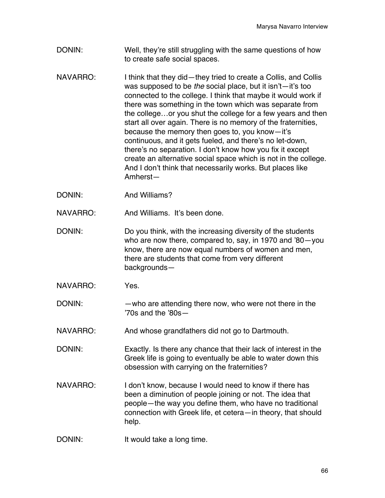- DONIN: Well, they're still struggling with the same questions of how to create safe social spaces.
- NAVARRO: I think that they did—they tried to create a Collis, and Collis was supposed to be *the* social place, but it isn't—it's too connected to the college. I think that maybe it would work if there was something in the town which was separate from the college…or you shut the college for a few years and then start all over again. There is no memory of the fraternities, because the memory then goes to, you know—it's continuous, and it gets fueled, and there's no let-down, there's no separation. I don't know how you fix it except create an alternative social space which is not in the college. And I don't think that necessarily works. But places like Amherst—
- DONIN: And Williams?

NAVARRO: And Williams. It's been done.

- DONIN: Do you think, with the increasing diversity of the students who are now there, compared to, say, in 1970 and '80—you know, there are now equal numbers of women and men, there are students that come from very different backgrounds—
- NAVARRO: Yes.
- DONIN: —who are attending there now, who were not there in the '70s and the '80s—
- NAVARRO: And whose grandfathers did not go to Dartmouth.
- DONIN: Exactly. Is there any chance that their lack of interest in the Greek life is going to eventually be able to water down this obsession with carrying on the fraternities?
- NAVARRO: I don't know, because I would need to know if there has been a diminution of people joining or not. The idea that people—the way you define them, who have no traditional connection with Greek life, et cetera—in theory, that should help.
- DONIN: It would take a long time.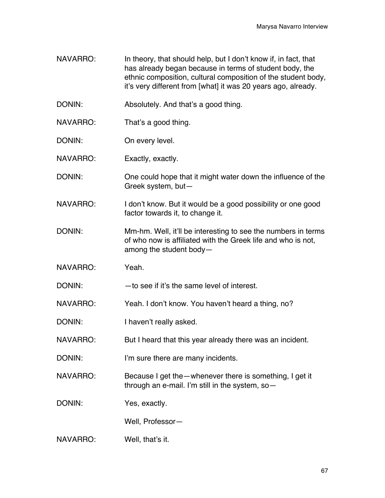- NAVARRO: In theory, that should help, but I don't know if, in fact, that has already began because in terms of student body, the ethnic composition, cultural composition of the student body, it's very different from [what] it was 20 years ago, already.
- DONIN: Absolutely. And that's a good thing.
- NAVARRO: That's a good thing.
- DONIN: On every level.
- NAVARRO: Exactly, exactly.
- DONIN: One could hope that it might water down the influence of the Greek system, but—
- NAVARRO: I don't know. But it would be a good possibility or one good factor towards it, to change it.
- DONIN: Mm-hm. Well, it'll be interesting to see the numbers in terms of who now is affiliated with the Greek life and who is not, among the student body—
- NAVARRO: Yeah.
- DONIN: to see if it's the same level of interest.
- NAVARRO: Yeah. I don't know. You haven't heard a thing, no?
- DONIN: I haven't really asked.
- NAVARRO: But I heard that this year already there was an incident.
- DONIN: I'm sure there are many incidents.
- NAVARRO: Because I get the—whenever there is something, I get it through an e-mail. I'm still in the system, so—
- DONIN: Yes, exactly.
	- Well, Professor—
- NAVARRO: Well, that's it.